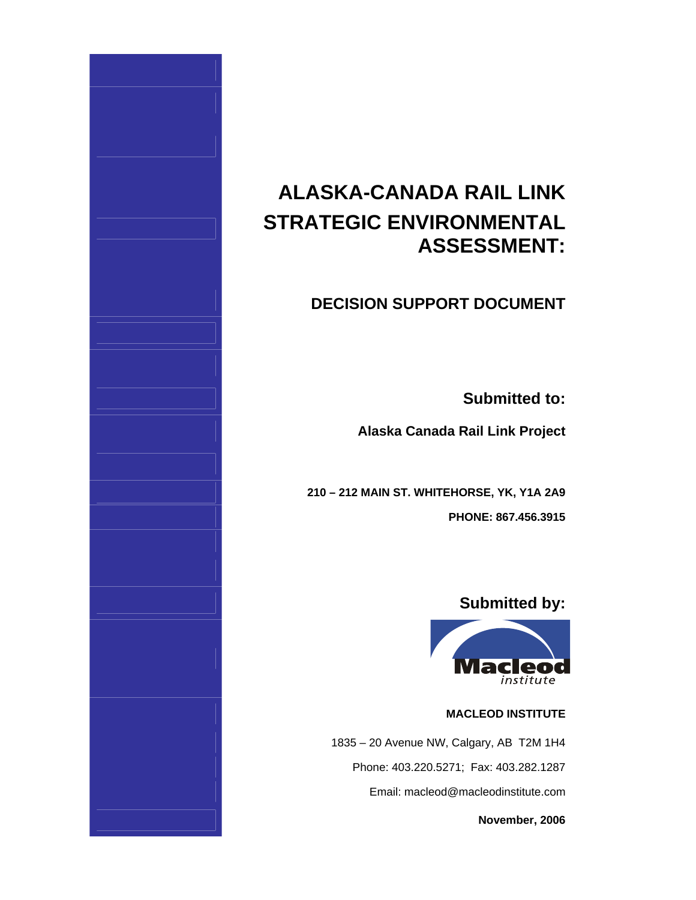# **ALASKA-CANADA RAIL LINK STRATEGIC ENVIRONMENTAL ASSESSMENT:**

# **DECISION SUPPORT DOCUMENT**

**Submitted to:**

**Alaska Canada Rail Link Project**

**210 – 212 MAIN ST. WHITEHORSE, YK, Y1A 2A9 PHONE: 867.456.3915**

# **Submitted by:**



# **MACLEOD INSTITUTE**

1835 – 20 Avenue NW, Calgary, AB T2M 1H4 Phone: 403.220.5271; Fax: 403.282.1287 Email: macleod@macleodinstitute.com

**November, 2006**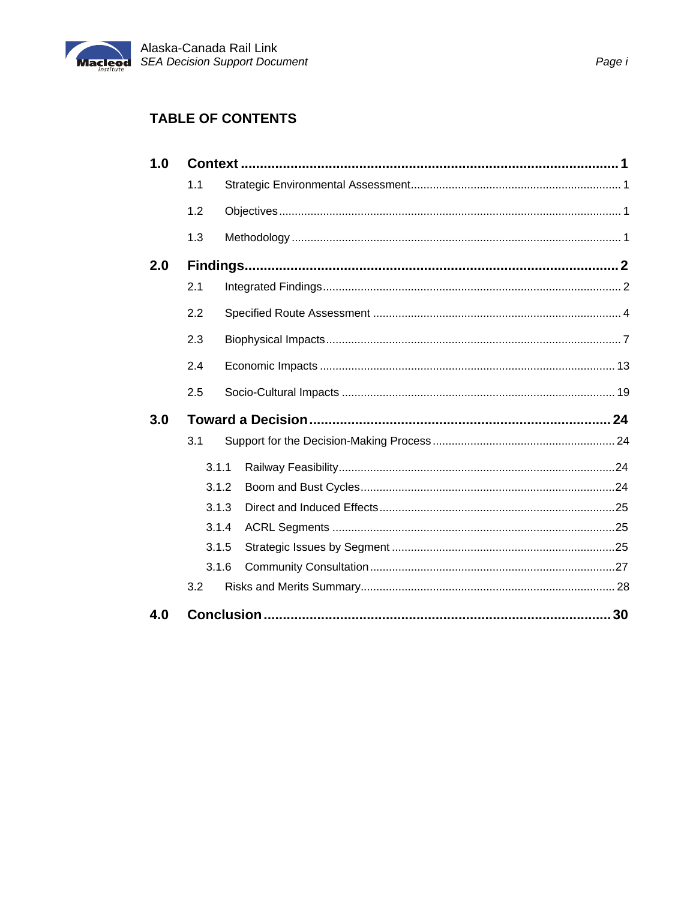

# **TABLE OF CONTENTS**

| 1.0 |                |       |  |  |  |  |  |  |  |
|-----|----------------|-------|--|--|--|--|--|--|--|
|     | 1.1            |       |  |  |  |  |  |  |  |
|     | 1.2            |       |  |  |  |  |  |  |  |
|     | 1.3            |       |  |  |  |  |  |  |  |
| 2.0 |                |       |  |  |  |  |  |  |  |
|     | 2.1            |       |  |  |  |  |  |  |  |
|     | 2.2            |       |  |  |  |  |  |  |  |
|     | 2.3            |       |  |  |  |  |  |  |  |
|     | 2.4            |       |  |  |  |  |  |  |  |
|     | 2.5            |       |  |  |  |  |  |  |  |
| 3.0 |                |       |  |  |  |  |  |  |  |
|     | 3.1            |       |  |  |  |  |  |  |  |
|     |                | 3.1.1 |  |  |  |  |  |  |  |
|     |                | 3.1.2 |  |  |  |  |  |  |  |
|     |                | 3.1.3 |  |  |  |  |  |  |  |
|     | 3.1.4<br>3.1.5 |       |  |  |  |  |  |  |  |
|     |                |       |  |  |  |  |  |  |  |
|     |                | 3.1.6 |  |  |  |  |  |  |  |
|     | 3.2            |       |  |  |  |  |  |  |  |
| 4.0 |                |       |  |  |  |  |  |  |  |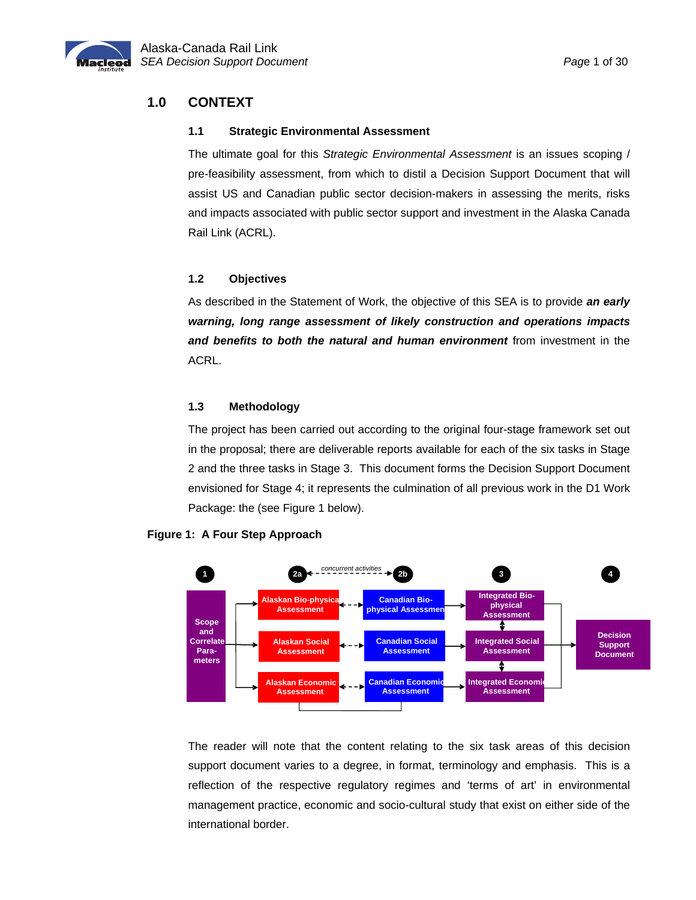<span id="page-2-0"></span>

# **1.0 CONTEXT**

#### **1.1 Strategic Environmental Assessment**

The ultimate goal for this *Strategic Environmental Assessment* is an issues scoping / pre-feasibility assessment, from which to distil a Decision Support Document that will assist US and Canadian public sector decision-makers in assessing the merits, risks and impacts associated with public sector support and investment in the Alaska Canada Rail Link (ACRL).

### **1.2 Objectives**

As described in the Statement of Work, the objective of this SEA is to provide *an early warning, long range assessment of likely construction and operations impacts and benefits to both the natural and human environment* from investment in the ACRL.

### **1.3 Methodology**

The project has been carried out according to the original four-stage framework set out in the proposal; there are deliverable reports available for each of the six tasks in Stage 2 and the three tasks in Stage 3. This document forms the Decision Support Document envisioned for Stage 4; it represents the culmination of all previous work in the D1 Work Package: the (see Figure 1 below).



### **Figure 1: A Four Step Approach**

The reader will note that the content relating to the six task areas of this decision support document varies to a degree, in format, terminology and emphasis. This is a reflection of the respective regulatory regimes and 'terms of art' in environmental management practice, economic and socio-cultural study that exist on either side of the international border.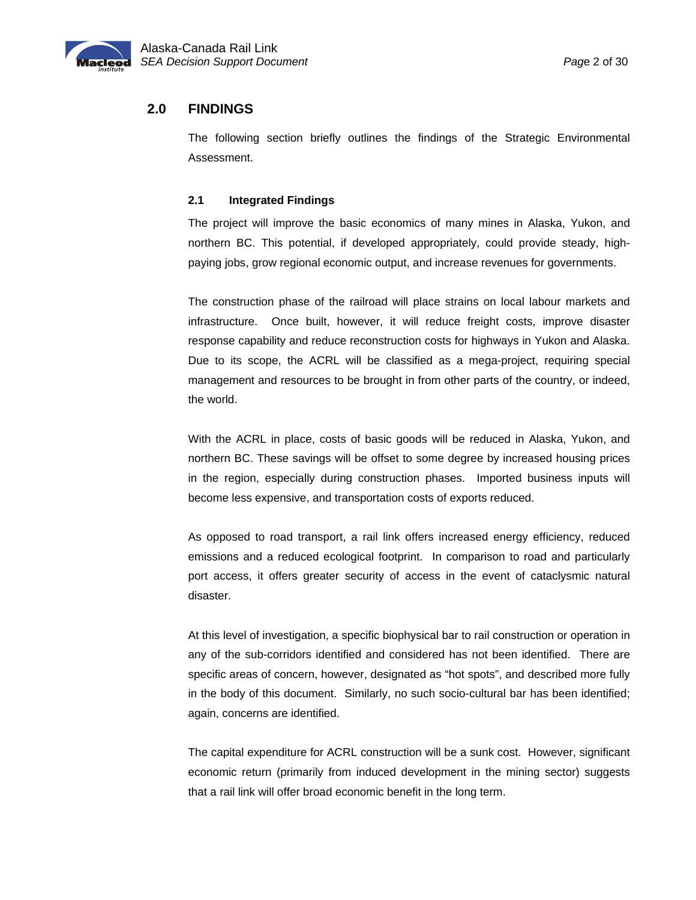<span id="page-3-0"></span>

## **2.0 FINDINGS**

The following section briefly outlines the findings of the Strategic Environmental Assessment.

#### **2.1 Integrated Findings**

The project will improve the basic economics of many mines in Alaska, Yukon, and northern BC. This potential, if developed appropriately, could provide steady, highpaying jobs, grow regional economic output, and increase revenues for governments.

The construction phase of the railroad will place strains on local labour markets and infrastructure. Once built, however, it will reduce freight costs, improve disaster response capability and reduce reconstruction costs for highways in Yukon and Alaska. Due to its scope, the ACRL will be classified as a mega-project, requiring special management and resources to be brought in from other parts of the country, or indeed, the world.

With the ACRL in place, costs of basic goods will be reduced in Alaska, Yukon, and northern BC. These savings will be offset to some degree by increased housing prices in the region, especially during construction phases. Imported business inputs will become less expensive, and transportation costs of exports reduced.

As opposed to road transport, a rail link offers increased energy efficiency, reduced emissions and a reduced ecological footprint. In comparison to road and particularly port access, it offers greater security of access in the event of cataclysmic natural disaster.

At this level of investigation, a specific biophysical bar to rail construction or operation in any of the sub-corridors identified and considered has not been identified. There are specific areas of concern, however, designated as "hot spots", and described more fully in the body of this document. Similarly, no such socio-cultural bar has been identified; again, concerns are identified.

The capital expenditure for ACRL construction will be a sunk cost. However, significant economic return (primarily from induced development in the mining sector) suggests that a rail link will offer broad economic benefit in the long term.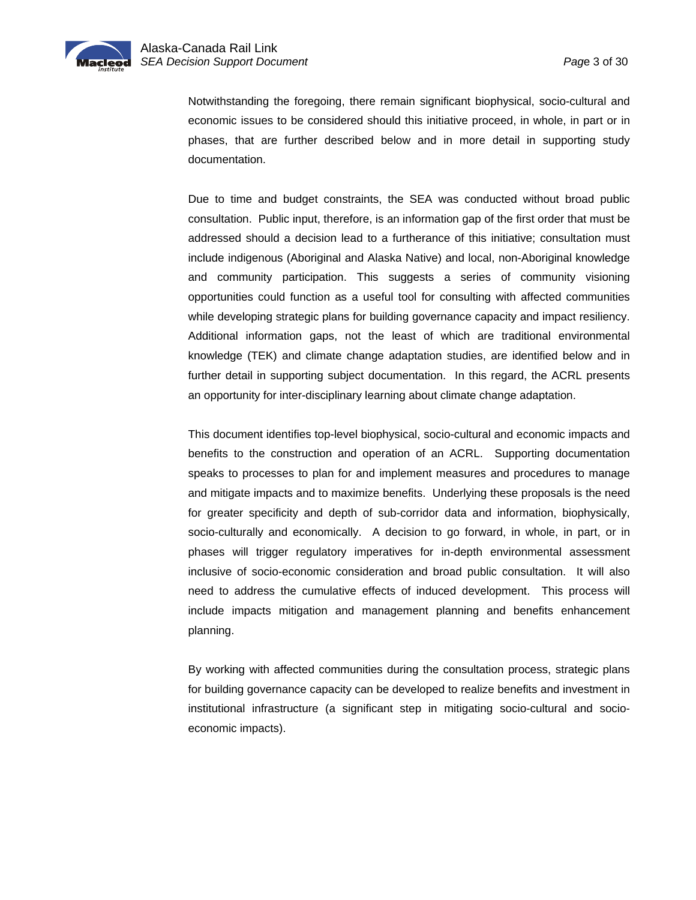

Notwithstanding the foregoing, there remain significant biophysical, socio-cultural and economic issues to be considered should this initiative proceed, in whole, in part or in phases, that are further described below and in more detail in supporting study documentation.

Due to time and budget constraints, the SEA was conducted without broad public consultation. Public input, therefore, is an information gap of the first order that must be addressed should a decision lead to a furtherance of this initiative; consultation must include indigenous (Aboriginal and Alaska Native) and local, non-Aboriginal knowledge and community participation. This suggests a series of community visioning opportunities could function as a useful tool for consulting with affected communities while developing strategic plans for building governance capacity and impact resiliency. Additional information gaps, not the least of which are traditional environmental knowledge (TEK) and climate change adaptation studies, are identified below and in further detail in supporting subject documentation. In this regard, the ACRL presents an opportunity for inter-disciplinary learning about climate change adaptation.

This document identifies top-level biophysical, socio-cultural and economic impacts and benefits to the construction and operation of an ACRL. Supporting documentation speaks to processes to plan for and implement measures and procedures to manage and mitigate impacts and to maximize benefits. Underlying these proposals is the need for greater specificity and depth of sub-corridor data and information, biophysically, socio-culturally and economically. A decision to go forward, in whole, in part, or in phases will trigger regulatory imperatives for in-depth environmental assessment inclusive of socio-economic consideration and broad public consultation. It will also need to address the cumulative effects of induced development. This process will include impacts mitigation and management planning and benefits enhancement planning.

By working with affected communities during the consultation process, strategic plans for building governance capacity can be developed to realize benefits and investment in institutional infrastructure (a significant step in mitigating socio-cultural and socioeconomic impacts).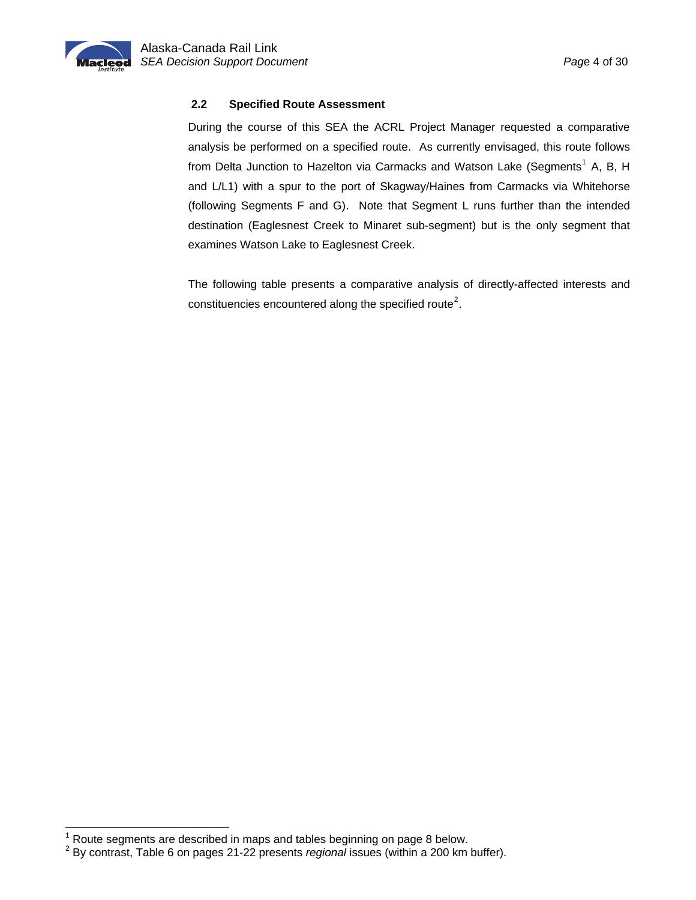<span id="page-5-0"></span>

l

### **2.2 Specified Route Assessment**

During the course of this SEA the ACRL Project Manager requested a comparative analysis be performed on a specified route. As currently envisaged, this route follows from Delta Junction to Hazelton via Carmacks and Watson Lake (Segments<sup>[1](#page-5-1)</sup> A, B, H and L/L1) with a spur to the port of Skagway/Haines from Carmacks via Whitehorse (following Segments F and G). Note that Segment L runs further than the intended destination (Eaglesnest Creek to Minaret sub-segment) but is the only segment that examines Watson Lake to Eaglesnest Creek.

The following table presents a comparative analysis of directly-affected interests and constituencies encountered along the specified route<sup>[2](#page-5-2)</sup>.

<sup>&</sup>lt;sup>1</sup> Route segments are described in maps and tables beginning on page 8 below.<br><sup>2</sup> By contract. Table 6 sp nasse 21.22 presents regional issues (within a 200 km)

<span id="page-5-2"></span><span id="page-5-1"></span>By contrast, Table 6 on pages 21-22 presents *regional* issues (within a 200 km buffer).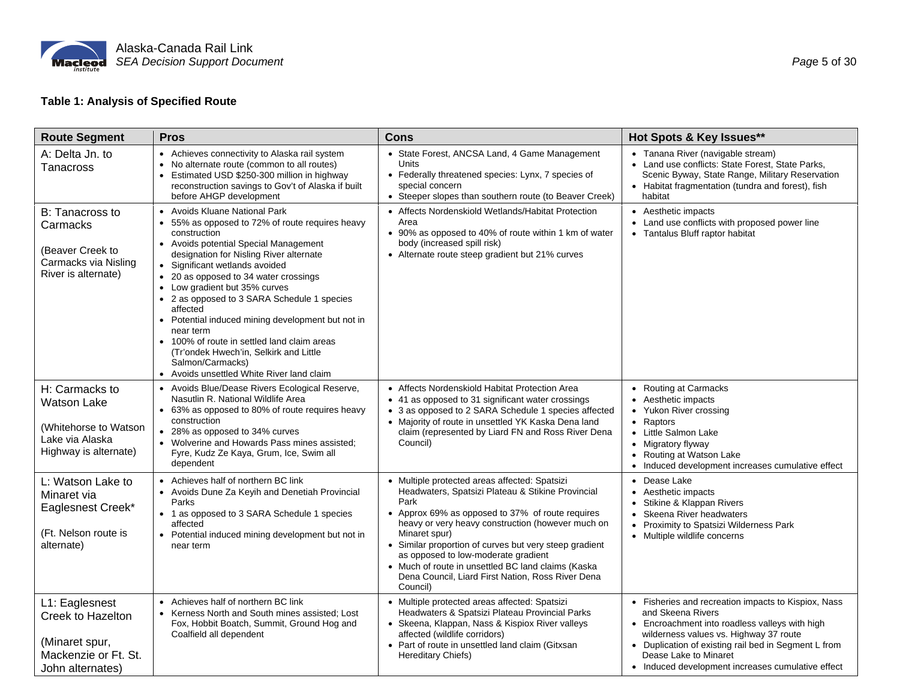

# **Table 1: Analysis of Specified Route**

| <b>Route Segment</b>                                                                                      | <b>Pros</b>                                                                                                                                                                                                                                                                                                                                                                                                                                                                                                                                                                                    | <b>Cons</b>                                                                                                                                                                                                                                                                                                                                                                                                                                                  | Hot Spots & Key Issues**                                                                                                                                                                                                                                                                                   |  |  |
|-----------------------------------------------------------------------------------------------------------|------------------------------------------------------------------------------------------------------------------------------------------------------------------------------------------------------------------------------------------------------------------------------------------------------------------------------------------------------------------------------------------------------------------------------------------------------------------------------------------------------------------------------------------------------------------------------------------------|--------------------------------------------------------------------------------------------------------------------------------------------------------------------------------------------------------------------------------------------------------------------------------------------------------------------------------------------------------------------------------------------------------------------------------------------------------------|------------------------------------------------------------------------------------------------------------------------------------------------------------------------------------------------------------------------------------------------------------------------------------------------------------|--|--|
| A: Delta Jn. to<br>Tanacross                                                                              | • Achieves connectivity to Alaska rail system<br>No alternate route (common to all routes)<br>$\bullet$<br>• Estimated USD \$250-300 million in highway<br>reconstruction savings to Gov't of Alaska if built<br>before AHGP development                                                                                                                                                                                                                                                                                                                                                       | • State Forest, ANCSA Land, 4 Game Management<br>Units<br>• Federally threatened species: Lynx, 7 species of<br>special concern<br>• Steeper slopes than southern route (to Beaver Creek)                                                                                                                                                                                                                                                                    | • Tanana River (navigable stream)<br>• Land use conflicts: State Forest, State Parks,<br>Scenic Byway, State Range, Military Reservation<br>• Habitat fragmentation (tundra and forest), fish<br>habitat                                                                                                   |  |  |
| B: Tanacross to<br>Carmacks<br>(Beaver Creek to<br>Carmacks via Nisling<br>River is alternate)            | • Avoids Kluane National Park<br>55% as opposed to 72% of route requires heavy<br>construction<br>Avoids potential Special Management<br>designation for Nisling River alternate<br>Significant wetlands avoided<br>$\bullet$<br>• 20 as opposed to 34 water crossings<br>• Low gradient but 35% curves<br>• 2 as opposed to 3 SARA Schedule 1 species<br>affected<br>• Potential induced mining development but not in<br>near term<br>• 100% of route in settled land claim areas<br>(Tr'ondek Hwech'in, Selkirk and Little<br>Salmon/Carmacks)<br>• Avoids unsettled White River land claim | • Affects Nordenskiold Wetlands/Habitat Protection<br>Area<br>• 90% as opposed to 40% of route within 1 km of water<br>body (increased spill risk)<br>• Alternate route steep gradient but 21% curves                                                                                                                                                                                                                                                        | • Aesthetic impacts<br>Land use conflicts with proposed power line<br>• Tantalus Bluff raptor habitat                                                                                                                                                                                                      |  |  |
| H: Carmacks to<br><b>Watson Lake</b><br>(Whitehorse to Watson<br>Lake via Alaska<br>Highway is alternate) | • Avoids Blue/Dease Rivers Ecological Reserve,<br>Nasutlin R. National Wildlife Area<br>• 63% as opposed to 80% of route requires heavy<br>construction<br>• 28% as opposed to 34% curves<br>• Wolverine and Howards Pass mines assisted;<br>Fyre, Kudz Ze Kaya, Grum, Ice, Swim all<br>dependent                                                                                                                                                                                                                                                                                              | • Affects Nordenskiold Habitat Protection Area<br>• 41 as opposed to 31 significant water crossings<br>• 3 as opposed to 2 SARA Schedule 1 species affected<br>• Majority of route in unsettled YK Kaska Dena land<br>claim (represented by Liard FN and Ross River Dena<br>Council)                                                                                                                                                                         | • Routing at Carmacks<br>• Aesthetic impacts<br>• Yukon River crossing<br>• Raptors<br>• Little Salmon Lake<br>• Migratory flyway<br>• Routing at Watson Lake<br>• Induced development increases cumulative effect                                                                                         |  |  |
| L: Watson Lake to<br>Minaret via<br>Eaglesnest Creek*<br>(Ft. Nelson route is<br>alternate)               | • Achieves half of northern BC link<br>• Avoids Dune Za Keyih and Denetiah Provincial<br>Parks<br>• 1 as opposed to 3 SARA Schedule 1 species<br>affected<br>• Potential induced mining development but not in<br>near term                                                                                                                                                                                                                                                                                                                                                                    | • Multiple protected areas affected: Spatsizi<br>Headwaters, Spatsizi Plateau & Stikine Provincial<br>Park<br>• Approx 69% as opposed to 37% of route requires<br>heavy or very heavy construction (however much on<br>Minaret spur)<br>• Similar proportion of curves but very steep gradient<br>as opposed to low-moderate gradient<br>• Much of route in unsettled BC land claims (Kaska<br>Dena Council, Liard First Nation, Ross River Dena<br>Council) | • Dease Lake<br>• Aesthetic impacts<br>• Stikine & Klappan Rivers<br>• Skeena River headwaters<br>• Proximity to Spatsizi Wilderness Park<br>• Multiple wildlife concerns                                                                                                                                  |  |  |
| L1: Eaglesnest<br>Creek to Hazelton<br>(Minaret spur,<br>Mackenzie or Ft. St.<br>John alternates)         | • Achieves half of northern BC link<br>• Kerness North and South mines assisted; Lost<br>Fox, Hobbit Boatch, Summit, Ground Hog and<br>Coalfield all dependent                                                                                                                                                                                                                                                                                                                                                                                                                                 | • Multiple protected areas affected: Spatsizi<br>Headwaters & Spatsizi Plateau Provincial Parks<br>• Skeena, Klappan, Nass & Kispiox River valleys<br>affected (wildlife corridors)<br>• Part of route in unsettled land claim (Gitxsan<br>Hereditary Chiefs)                                                                                                                                                                                                | • Fisheries and recreation impacts to Kispiox, Nass<br>and Skeena Rivers<br>• Encroachment into roadless valleys with high<br>wilderness values vs. Highway 37 route<br>• Duplication of existing rail bed in Segment L from<br>Dease Lake to Minaret<br>• Induced development increases cumulative effect |  |  |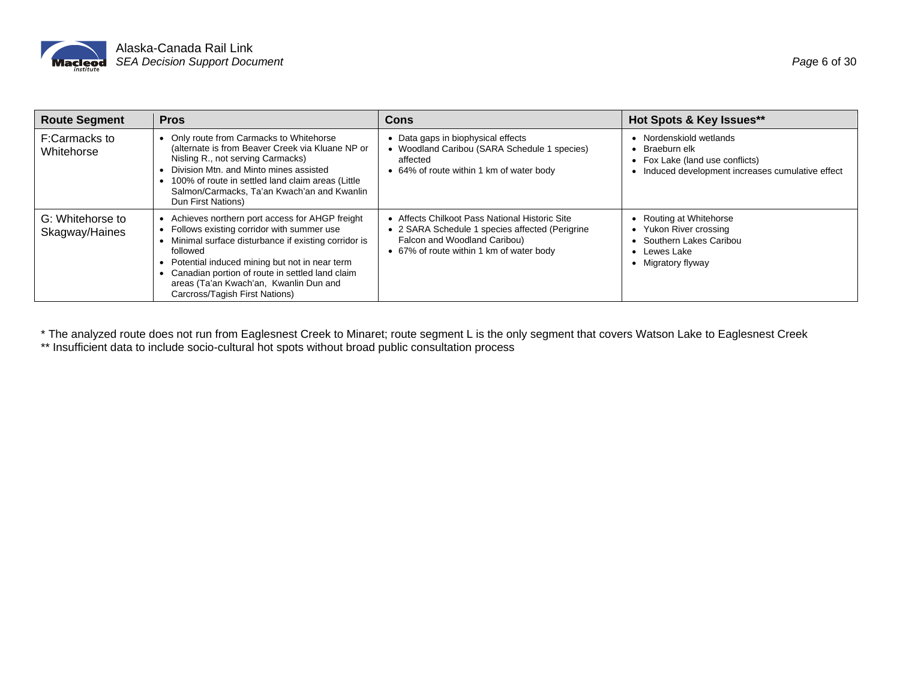

| <b>Route Segment</b>               | <b>Pros</b>                                                                                                                                                                                                                                                                                                                                    | Cons                                                                                                                                                                          | Hot Spots & Key Issues**                                                                                                  |
|------------------------------------|------------------------------------------------------------------------------------------------------------------------------------------------------------------------------------------------------------------------------------------------------------------------------------------------------------------------------------------------|-------------------------------------------------------------------------------------------------------------------------------------------------------------------------------|---------------------------------------------------------------------------------------------------------------------------|
| F:Carmacks to<br>Whitehorse        | Only route from Carmacks to Whitehorse<br>(alternate is from Beaver Creek via Kluane NP or<br>Nisling R., not serving Carmacks)<br>Division Mtn. and Minto mines assisted<br>100% of route in settled land claim areas (Little<br>Salmon/Carmacks, Ta'an Kwach'an and Kwanlin<br>Dun First Nations)                                            | Data gaps in biophysical effects<br>• Woodland Caribou (SARA Schedule 1 species)<br>affected<br>64% of route within 1 km of water body                                        | Nordenskiold wetlands<br>Braeburn elk<br>Fox Lake (land use conflicts)<br>Induced development increases cumulative effect |
| G: Whitehorse to<br>Skagway/Haines | Achieves northern port access for AHGP freight<br>Follows existing corridor with summer use<br>Minimal surface disturbance if existing corridor is<br>followed<br>Potential induced mining but not in near term<br>Canadian portion of route in settled land claim<br>areas (Ta'an Kwach'an, Kwanlin Dun and<br>Carcross/Tagish First Nations) | • Affects Chilkoot Pass National Historic Site<br>• 2 SARA Schedule 1 species affected (Perigrine<br>Falcon and Woodland Caribou)<br>• 67% of route within 1 km of water body | Routing at Whitehorse<br>• Yukon River crossing<br>Southern Lakes Caribou<br>Lewes Lake<br>• Migratory flyway             |

\* The analyzed route does not run from Eaglesnest Creek to Minaret; route segment L is the only segment that covers Watson Lake to Eaglesnest Creek \*\* Insufficient data to include socio-cultural hot spots without broad public consultation process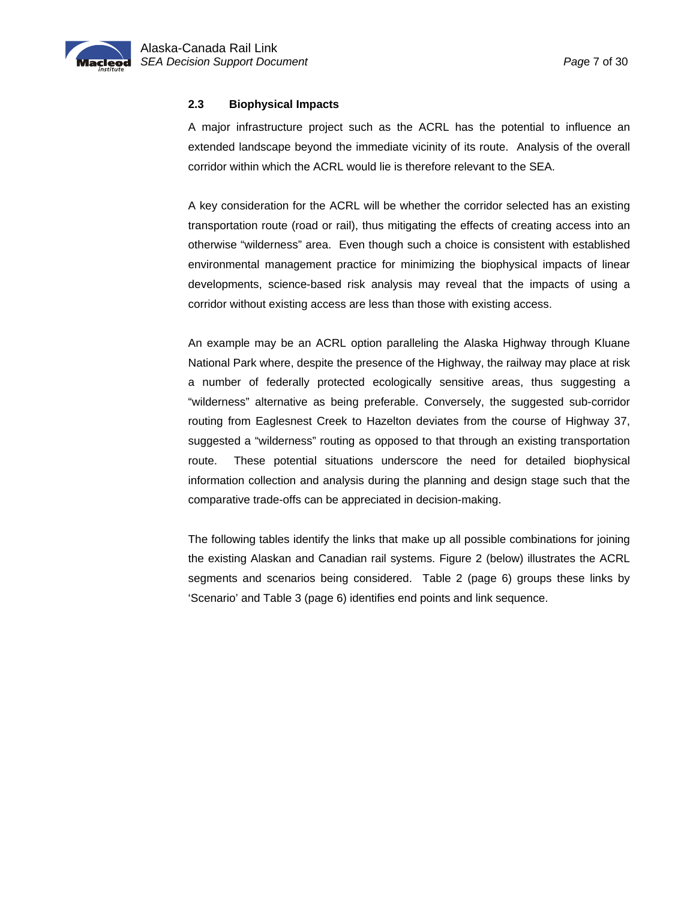<span id="page-8-0"></span>

#### **2.3 Biophysical Impacts**

A major infrastructure project such as the ACRL has the potential to influence an extended landscape beyond the immediate vicinity of its route. Analysis of the overall corridor within which the ACRL would lie is therefore relevant to the SEA.

A key consideration for the ACRL will be whether the corridor selected has an existing transportation route (road or rail), thus mitigating the effects of creating access into an otherwise "wilderness" area. Even though such a choice is consistent with established environmental management practice for minimizing the biophysical impacts of linear developments, science-based risk analysis may reveal that the impacts of using a corridor without existing access are less than those with existing access.

An example may be an ACRL option paralleling the Alaska Highway through Kluane National Park where, despite the presence of the Highway, the railway may place at risk a number of federally protected ecologically sensitive areas, thus suggesting a "wilderness" alternative as being preferable. Conversely, the suggested sub-corridor routing from Eaglesnest Creek to Hazelton deviates from the course of Highway 37, suggested a "wilderness" routing as opposed to that through an existing transportation route. These potential situations underscore the need for detailed biophysical information collection and analysis during the planning and design stage such that the comparative trade-offs can be appreciated in decision-making.

The following tables identify the links that make up all possible combinations for joining the existing Alaskan and Canadian rail systems. Figure 2 (below) illustrates the ACRL segments and scenarios being considered. Table 2 (page 6) groups these links by 'Scenario' and Table 3 (page 6) identifies end points and link sequence.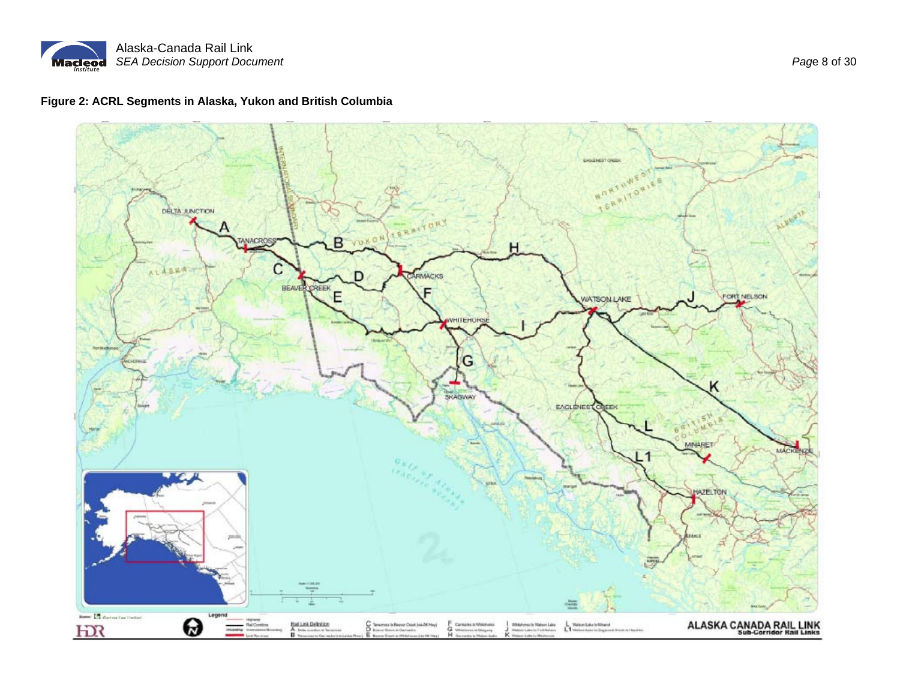

# **Figure 2: ACRL Segments in Alaska, Yukon and British Columbia**

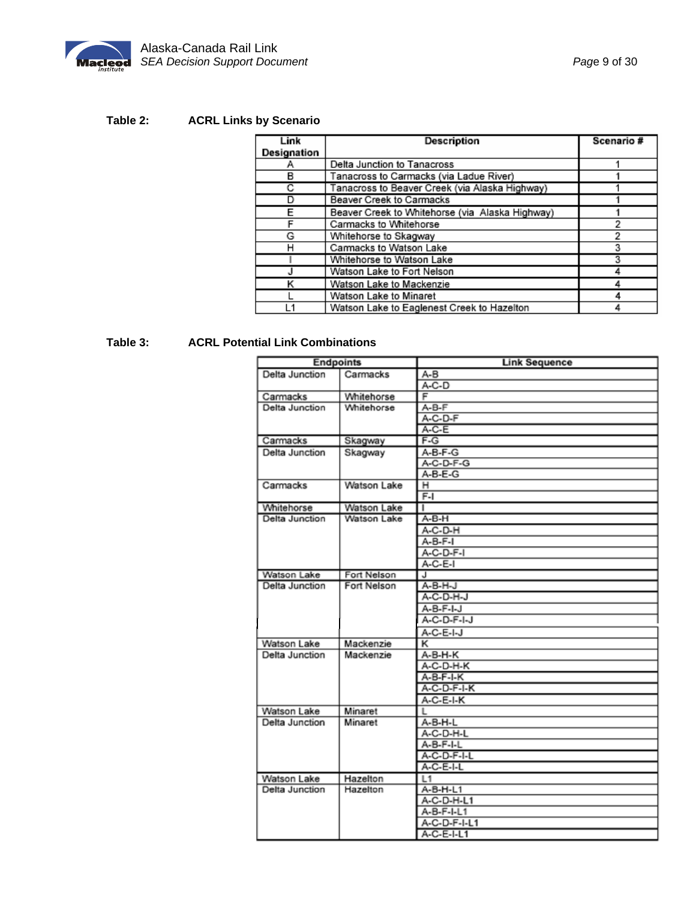

# **Table 2: ACRL Links by Scenario**

| Link        | Description                                     | Scenario # |
|-------------|-------------------------------------------------|------------|
| Designation |                                                 |            |
| А           | Delta Junction to Tanacross                     |            |
| в           | Tanacross to Carmacks (via Ladue River)         |            |
| C           | Tanacross to Beaver Creek (via Alaska Highway)  |            |
| D           | Beaver Creek to Carmacks                        |            |
| F           | Beaver Creek to Whitehorse (via Alaska Highway) |            |
| F           | Carmacks to Whitehorse                          |            |
| G           | Whitehorse to Skagway                           | 2          |
| н           | Carmacks to Watson Lake                         | з          |
|             | Whitehorse to Watson Lake                       | 3          |
|             | Watson Lake to Fort Nelson                      |            |
| κ           | Watson Lake to Mackenzie                        |            |
|             | Watson Lake to Minaret                          |            |
|             | Watson Lake to Eaglenest Creek to Hazelton      |            |

# **Table 3: ACRL Potential Link Combinations**

|                | <b>Endpoints</b> | <b>Link Sequence</b> |
|----------------|------------------|----------------------|
| Delta Junction | Carmacks         | $A-B$                |
|                |                  | $A-C-D$              |
| Carmacks       | Whitehorse       | F                    |
| Delta Junction | Whitehorse       | $A-B-F$              |
|                |                  | A-C-D-F              |
|                |                  | $A-C-E$              |
| Carmacks       | Skagway          | $F-G$                |
| Delta Junction | Skagway          | A-B-F-G              |
|                |                  | A-C-D-F-G            |
|                |                  | A-B-E-G              |
| Carmacks       | Watson Lake      | н                    |
|                |                  | $F-I$                |
| Whitehorse     | Watson Lake      | T                    |
| Delta Junction | Watson Lake      | A-B-H                |
|                |                  | A-C-D-H              |
|                |                  | $A-B-F-I$            |
|                |                  | A-C-D-F-I            |
|                |                  | A-C-E-I              |
| Watson Lake    | Fort Nelson      | J                    |
| Delta Junction | Fort Nelson      | A-B-H-J              |
|                |                  | A-C-D-H-J            |
|                |                  | A-B-F-I-J            |
|                |                  | A-C-D-F-I-J          |
|                |                  | A-C-E-I-J            |
| Watson Lake    | Mackenzie        | κ                    |
| Delta Junction | Mackenzie        | A-B-H-K              |
|                |                  | A-C-D-H-K            |
|                |                  | A-B-F-I-K            |
|                |                  | A-C-D-F-I-K          |
|                |                  | A-C-E-I-K            |
| Watson Lake    | Minaret          | L                    |
| Delta Junction | Minaret          | A-B-H-L              |
|                |                  | A-C-D-H-L            |
|                |                  | A-B-F-I-L            |
|                |                  | A-C-D-F-I-L          |
|                |                  | A-C-E-I-L            |
| Watson Lake    | Hazelton         | L1                   |
| Delta Junction | Hazelton         | A-B-H-L1             |
|                |                  | A-C-D-H-L1           |
|                |                  | A-B-F-I-L1           |
|                |                  | A-C-D-F-I-L1         |
|                |                  | A-C-E-I-L1           |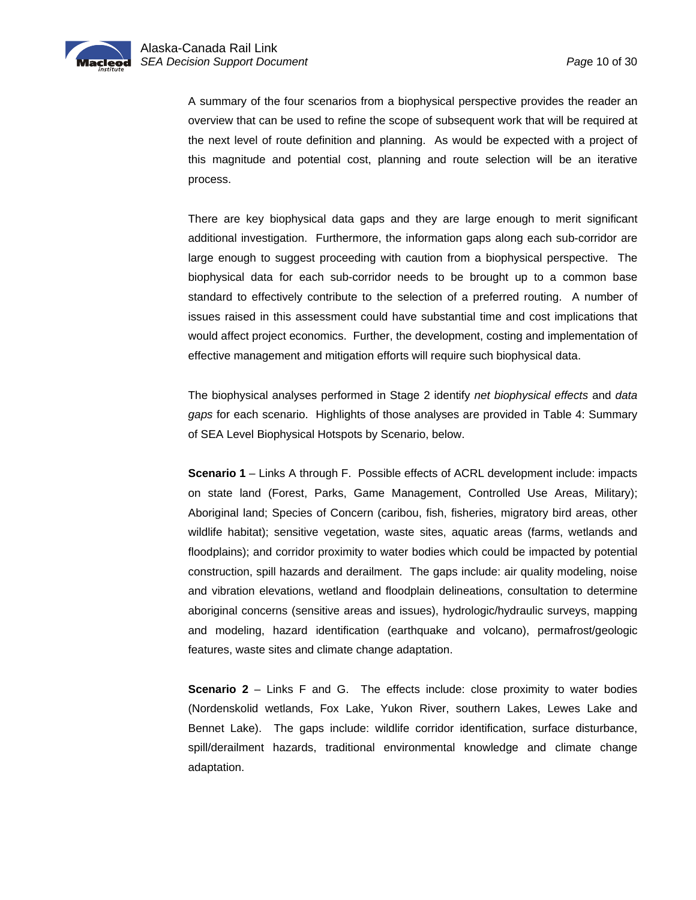

A summary of the four scenarios from a biophysical perspective provides the reader an overview that can be used to refine the scope of subsequent work that will be required at the next level of route definition and planning. As would be expected with a project of this magnitude and potential cost, planning and route selection will be an iterative process.

There are key biophysical data gaps and they are large enough to merit significant additional investigation. Furthermore, the information gaps along each sub-corridor are large enough to suggest proceeding with caution from a biophysical perspective. The biophysical data for each sub-corridor needs to be brought up to a common base standard to effectively contribute to the selection of a preferred routing. A number of issues raised in this assessment could have substantial time and cost implications that would affect project economics. Further, the development, costing and implementation of effective management and mitigation efforts will require such biophysical data.

The biophysical analyses performed in Stage 2 identify *net biophysical effects* and *data gaps* for each scenario. Highlights of those analyses are provided in Table 4: Summary of SEA Level Biophysical Hotspots by Scenario, below.

**Scenario 1** – Links A through F. Possible effects of ACRL development include: impacts on state land (Forest, Parks, Game Management, Controlled Use Areas, Military); Aboriginal land; Species of Concern (caribou, fish, fisheries, migratory bird areas, other wildlife habitat); sensitive vegetation, waste sites, aquatic areas (farms, wetlands and floodplains); and corridor proximity to water bodies which could be impacted by potential construction, spill hazards and derailment. The gaps include: air quality modeling, noise and vibration elevations, wetland and floodplain delineations, consultation to determine aboriginal concerns (sensitive areas and issues), hydrologic/hydraulic surveys, mapping and modeling, hazard identification (earthquake and volcano), permafrost/geologic features, waste sites and climate change adaptation.

**Scenario 2** – Links F and G. The effects include: close proximity to water bodies (Nordenskolid wetlands, Fox Lake, Yukon River, southern Lakes, Lewes Lake and Bennet Lake). The gaps include: wildlife corridor identification, surface disturbance, spill/derailment hazards, traditional environmental knowledge and climate change adaptation.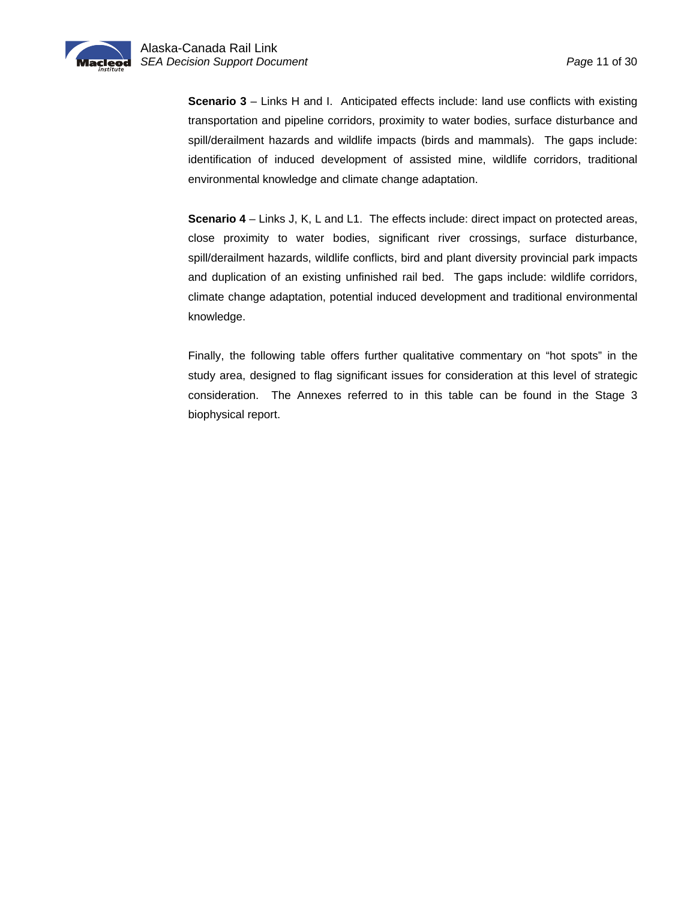

**Scenario 3** – Links H and I. Anticipated effects include: land use conflicts with existing transportation and pipeline corridors, proximity to water bodies, surface disturbance and spill/derailment hazards and wildlife impacts (birds and mammals). The gaps include: identification of induced development of assisted mine, wildlife corridors, traditional environmental knowledge and climate change adaptation.

**Scenario 4** – Links J, K, L and L1. The effects include: direct impact on protected areas, close proximity to water bodies, significant river crossings, surface disturbance, spill/derailment hazards, wildlife conflicts, bird and plant diversity provincial park impacts and duplication of an existing unfinished rail bed. The gaps include: wildlife corridors, climate change adaptation, potential induced development and traditional environmental knowledge.

Finally, the following table offers further qualitative commentary on "hot spots" in the study area, designed to flag significant issues for consideration at this level of strategic consideration. The Annexes referred to in this table can be found in the Stage 3 biophysical report.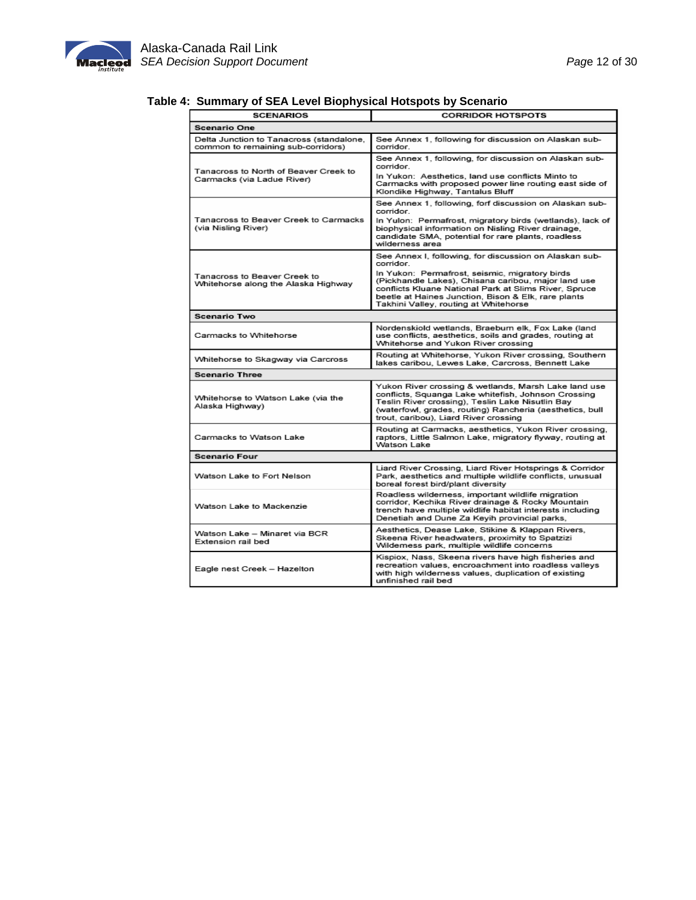

| <i>.</i><br><b>SCENARIOS</b>                                                   | <b>CORRIDOR HOTSPOTS</b>                                                                                                                                                                                                                                             |  |  |  |  |
|--------------------------------------------------------------------------------|----------------------------------------------------------------------------------------------------------------------------------------------------------------------------------------------------------------------------------------------------------------------|--|--|--|--|
| <b>Scenario One</b>                                                            |                                                                                                                                                                                                                                                                      |  |  |  |  |
| Delta Junction to Tanacross (standalone,<br>common to remaining sub-corridors) | See Annex 1, following for discussion on Alaskan sub-<br>corridor.                                                                                                                                                                                                   |  |  |  |  |
| Tanacross to North of Beaver Creek to                                          | See Annex 1, following, for discussion on Alaskan sub-<br>corridor.                                                                                                                                                                                                  |  |  |  |  |
| Carmacks (via Ladue River)                                                     | In Yukon: Aesthetics, land use conflicts Minto to<br>Carmacks with proposed power line routing east side of<br>Klondike Highway, Tantalus Bluff                                                                                                                      |  |  |  |  |
|                                                                                | See Annex 1, following, forf discussion on Alaskan sub-<br>corridor.                                                                                                                                                                                                 |  |  |  |  |
| Tanacross to Beaver Creek to Carmacks<br>(via Nisling River)                   | In Yulon: Permafrost, migratory birds (wetlands), lack of<br>biophysical information on Nisling River drainage,<br>candidate SMA, potential for rare plants, roadless<br>wilderness area                                                                             |  |  |  |  |
|                                                                                | See Annex I, following, for discussion on Alaskan sub-<br>corridor.                                                                                                                                                                                                  |  |  |  |  |
| Tanacross to Beaver Creek to<br>Whitehorse along the Alaska Highway            | In Yukon: Permafrost, seismic, migratory birds<br>(Pickhandle Lakes), Chisana caribou, major land use<br>conflicts Kluane National Park at Slims River, Spruce<br>beetle at Haines Junction, Bison & Elk, rare plants<br>Takhini Valley, routing at Whitehorse       |  |  |  |  |
| <b>Scenario Two</b>                                                            |                                                                                                                                                                                                                                                                      |  |  |  |  |
| Carmacks to Whitehorse                                                         | Nordenskiold wetlands, Braeburn elk, Fox Lake (land<br>use conflicts, aesthetics, soils and grades, routing at<br>Whitehorse and Yukon River crossing                                                                                                                |  |  |  |  |
| Whitehorse to Skagway via Carcross                                             | Routing at Whitehorse, Yukon River crossing, Southern<br>lakes caribou, Lewes Lake, Carcross, Bennett Lake                                                                                                                                                           |  |  |  |  |
| <b>Scenario Three</b>                                                          |                                                                                                                                                                                                                                                                      |  |  |  |  |
| Whitehorse to Watson Lake (via the<br>Alaska Highway)                          | Yukon River crossing & wetlands, Marsh Lake land use<br>conflicts, Squanga Lake whitefish, Johnson Crossing<br>Teslin River crossing), Teslin Lake Nisutlin Bay<br>(waterfowl, grades, routing) Rancheria (aesthetics, bull<br>trout, caribou), Liard River crossing |  |  |  |  |
| Carmacks to Watson Lake                                                        | Routing at Carmacks, aesthetics, Yukon River crossing,<br>raptors, Little Salmon Lake, migratory flyway, routing at<br>Watson Lake                                                                                                                                   |  |  |  |  |
| Scenario Four                                                                  |                                                                                                                                                                                                                                                                      |  |  |  |  |
| Watson Lake to Fort Nelson                                                     | Liard River Crossing, Liard River Hotsprings & Corridor<br>Park, aesthetics and multiple wildlife conflicts, unusual<br>boreal forest bird/plant diversity                                                                                                           |  |  |  |  |
| Watson Lake to Mackenzie                                                       | Roadless wildemess, important wildlife migration<br>corridor, Kechika River drainage & Rocky Mountain<br>trench have multiple wildlife habitat interests including<br>Denetiah and Dune Za Keyih provincial parks,                                                   |  |  |  |  |
| Watson Lake - Minaret via BCR<br>Extension rail bed                            | Aesthetics, Dease Lake, Stikine & Klappan Rivers,<br>Skeena River headwaters, proximity to Spatzizi<br>Wildemess park, multiple wildlife concerns                                                                                                                    |  |  |  |  |
| Eagle nest Creek - Hazelton                                                    | Kispiox, Nass, Skeena rivers have high fisheries and<br>recreation values, encroachment into roadless valleys<br>with high wilderness values, duplication of existing<br>unfinished rail bed                                                                         |  |  |  |  |

### **Table 4: Summary of SEA Level Biophysical Hotspots by Scenario**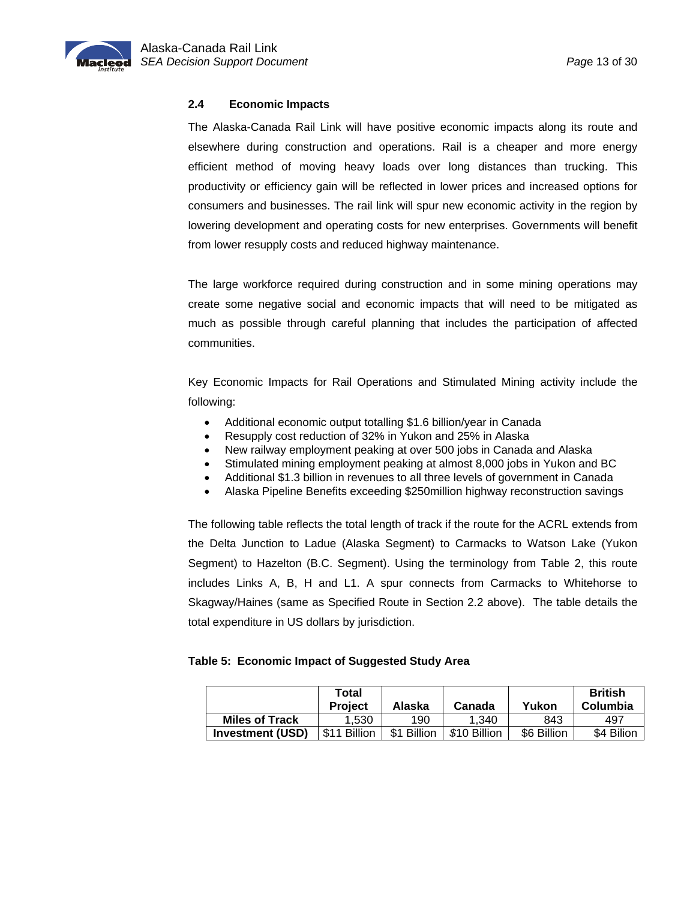### <span id="page-14-0"></span>**2.4 Economic Impacts**

The Alaska-Canada Rail Link will have positive economic impacts along its route and elsewhere during construction and operations. Rail is a cheaper and more energy efficient method of moving heavy loads over long distances than trucking. This productivity or efficiency gain will be reflected in lower prices and increased options for consumers and businesses. The rail link will spur new economic activity in the region by lowering development and operating costs for new enterprises. Governments will benefit from lower resupply costs and reduced highway maintenance.

The large workforce required during construction and in some mining operations may create some negative social and economic impacts that will need to be mitigated as much as possible through careful planning that includes the participation of affected communities.

Key Economic Impacts for Rail Operations and Stimulated Mining activity include the following:

- Additional economic output totalling \$1.6 billion/year in Canada
- Resupply cost reduction of 32% in Yukon and 25% in Alaska
- New railway employment peaking at over 500 jobs in Canada and Alaska
- Stimulated mining employment peaking at almost 8,000 jobs in Yukon and BC
- Additional \$1.3 billion in revenues to all three levels of government in Canada
- Alaska Pipeline Benefits exceeding \$250million highway reconstruction savings

The following table reflects the total length of track if the route for the ACRL extends from the Delta Junction to Ladue (Alaska Segment) to Carmacks to Watson Lake (Yukon Segment) to Hazelton (B.C. Segment). Using the terminology from Table 2, this route includes Links A, B, H and L1. A spur connects from Carmacks to Whitehorse to Skagway/Haines (same as Specified Route in Section 2.2 above). The table details the total expenditure in US dollars by jurisdiction.

#### **Table 5: Economic Impact of Suggested Study Area**

|                         | Total<br><b>Project</b> | Alaska                | Canada       | Yukon       | <b>British</b><br>Columbia |
|-------------------------|-------------------------|-----------------------|--------------|-------------|----------------------------|
| <b>Miles of Track</b>   | 1.530                   | 190                   | 1.340        | 843         | 497                        |
| <b>Investment (USD)</b> | \$11 Billion            | <b>Billion</b><br>\$1 | \$10 Billion | \$6 Billion | \$4 Bilion                 |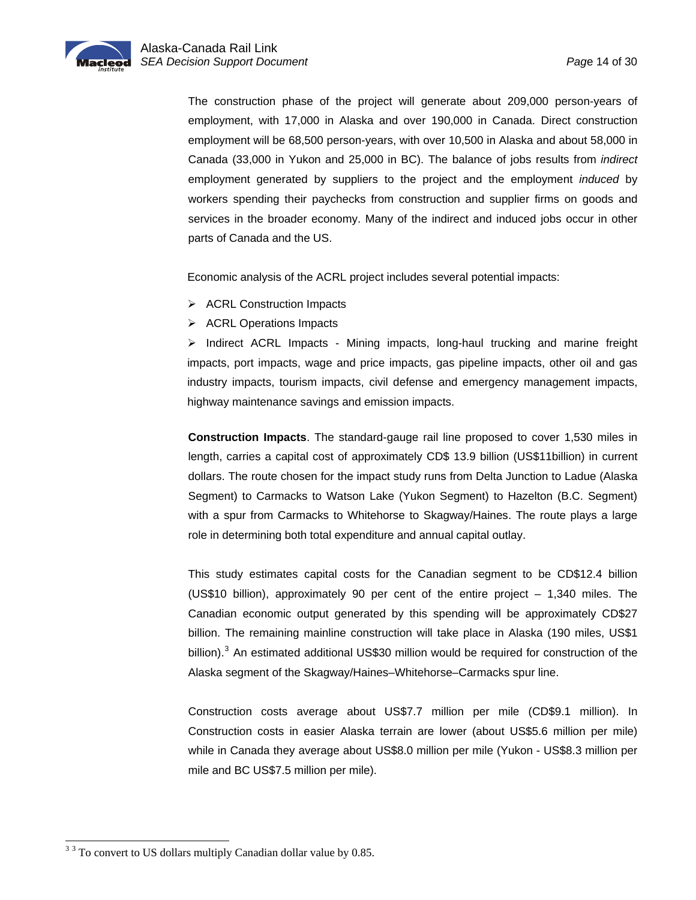<span id="page-15-0"></span>The construction phase of the project will generate about 209,000 person-years of employment, with 17,000 in Alaska and over 190,000 in Canada. Direct construction employment will be 68,500 person-years, with over 10,500 in Alaska and about 58,000 in Canada (33,000 in Yukon and 25,000 in BC). The balance of jobs results from *indirect* employment generated by suppliers to the project and the employment *induced* by workers spending their paychecks from construction and supplier firms on goods and services in the broader economy. Many of the indirect and induced jobs occur in other parts of Canada and the US.

Economic analysis of the ACRL project includes several potential impacts:

- ¾ ACRL Construction Impacts
- $\triangleright$  ACRL Operations Impacts

 $\triangleright$  Indirect ACRL Impacts - Mining impacts, long-haul trucking and marine freight impacts, port impacts, wage and price impacts, gas pipeline impacts, other oil and gas industry impacts, tourism impacts, civil defense and emergency management impacts, highway maintenance savings and emission impacts.

**Construction Impacts**. The standard-gauge rail line proposed to cover 1,530 miles in length, carries a capital cost of approximately CD\$ 13.9 billion (US\$11billion) in current dollars. The route chosen for the impact study runs from Delta Junction to Ladue (Alaska Segment) to Carmacks to Watson Lake (Yukon Segment) to Hazelton (B.C. Segment) with a spur from Carmacks to Whitehorse to Skagway/Haines. The route plays a large role in determining both total expenditure and annual capital outlay.

This study estimates capital costs for the Canadian segment to be CD\$12.4 billion (US\$10 billion), approximately 90 per cent of the entire project – 1,340 miles. The Canadian economic output generated by this spending will be approximately CD\$27 billion. The remaining mainline construction will take place in Alaska (190 miles, US\$1 billion).<sup>[3](#page-15-0)</sup> An estimated additional US\$30 million would be required for construction of the Alaska segment of the Skagway/Haines–Whitehorse–Carmacks spur line.

Construction costs average about US\$7.7 million per mile (CD\$9.1 million). In Construction costs in easier Alaska terrain are lower (about US\$5.6 million per mile) while in Canada they average about US\$8.0 million per mile (Yukon - US\$8.3 million per mile and BC US\$7.5 million per mile).

<sup>&</sup>lt;sup>3</sup> <sup>3</sup> To convert to US dollars multiply Canadian dollar value by 0.85.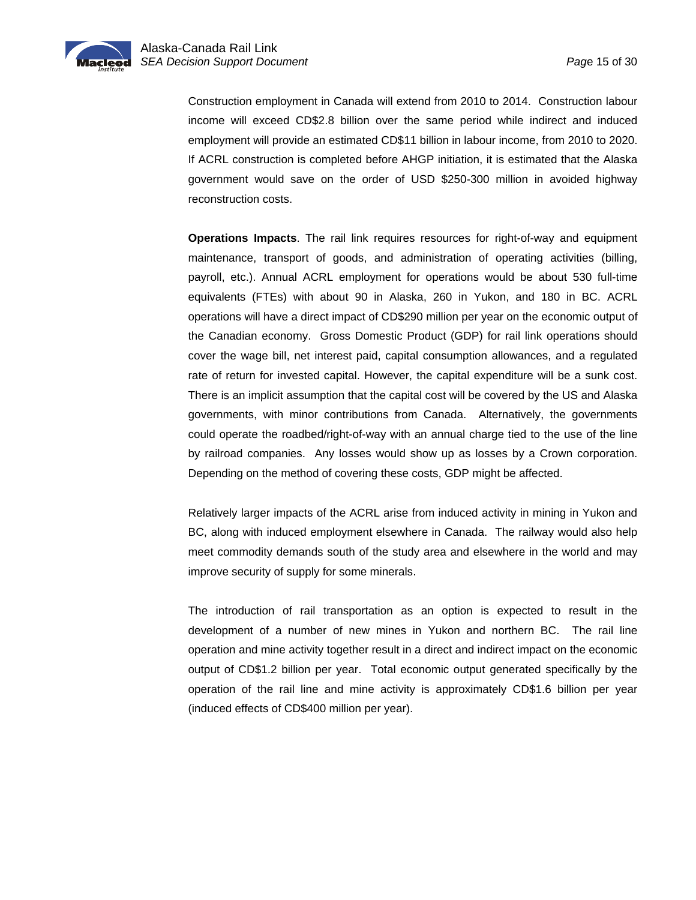

Construction employment in Canada will extend from 2010 to 2014. Construction labour income will exceed CD\$2.8 billion over the same period while indirect and induced employment will provide an estimated CD\$11 billion in labour income, from 2010 to 2020. If ACRL construction is completed before AHGP initiation, it is estimated that the Alaska government would save on the order of USD \$250-300 million in avoided highway reconstruction costs.

**Operations Impacts**. The rail link requires resources for right-of-way and equipment maintenance, transport of goods, and administration of operating activities (billing, payroll, etc.). Annual ACRL employment for operations would be about 530 full-time equivalents (FTEs) with about 90 in Alaska, 260 in Yukon, and 180 in BC. ACRL operations will have a direct impact of CD\$290 million per year on the economic output of the Canadian economy. Gross Domestic Product (GDP) for rail link operations should cover the wage bill, net interest paid, capital consumption allowances, and a regulated rate of return for invested capital. However, the capital expenditure will be a sunk cost. There is an implicit assumption that the capital cost will be covered by the US and Alaska governments, with minor contributions from Canada. Alternatively, the governments could operate the roadbed/right-of-way with an annual charge tied to the use of the line by railroad companies. Any losses would show up as losses by a Crown corporation. Depending on the method of covering these costs, GDP might be affected.

Relatively larger impacts of the ACRL arise from induced activity in mining in Yukon and BC, along with induced employment elsewhere in Canada. The railway would also help meet commodity demands south of the study area and elsewhere in the world and may improve security of supply for some minerals.

The introduction of rail transportation as an option is expected to result in the development of a number of new mines in Yukon and northern BC. The rail line operation and mine activity together result in a direct and indirect impact on the economic output of CD\$1.2 billion per year. Total economic output generated specifically by the operation of the rail line and mine activity is approximately CD\$1.6 billion per year (induced effects of CD\$400 million per year).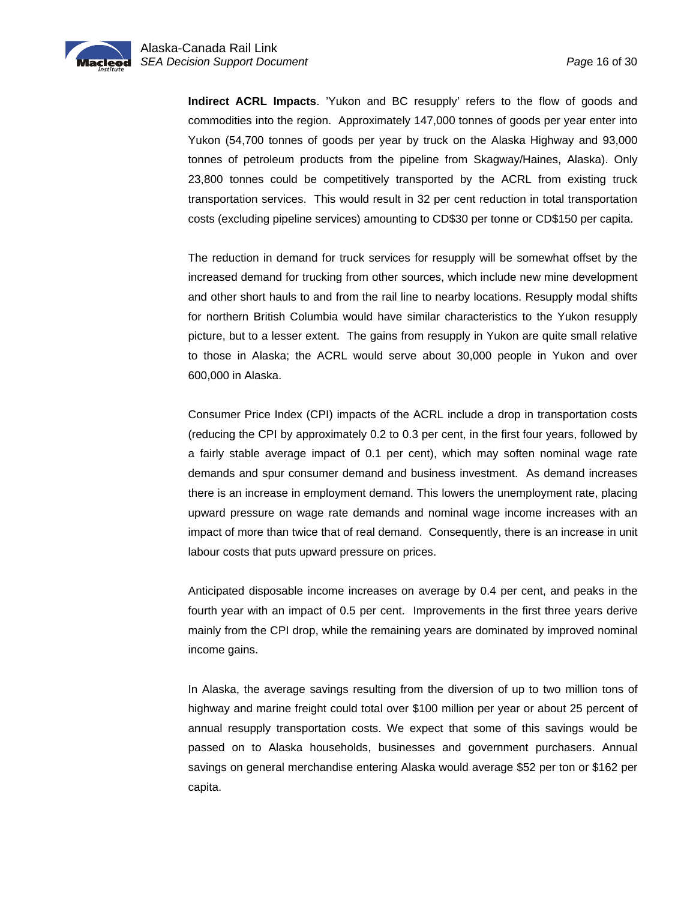

**Indirect ACRL Impacts**. 'Yukon and BC resupply' refers to the flow of goods and commodities into the region. Approximately 147,000 tonnes of goods per year enter into Yukon (54,700 tonnes of goods per year by truck on the Alaska Highway and 93,000 tonnes of petroleum products from the pipeline from Skagway/Haines, Alaska). Only 23,800 tonnes could be competitively transported by the ACRL from existing truck transportation services. This would result in 32 per cent reduction in total transportation costs (excluding pipeline services) amounting to CD\$30 per tonne or CD\$150 per capita.

The reduction in demand for truck services for resupply will be somewhat offset by the increased demand for trucking from other sources, which include new mine development and other short hauls to and from the rail line to nearby locations. Resupply modal shifts for northern British Columbia would have similar characteristics to the Yukon resupply picture, but to a lesser extent. The gains from resupply in Yukon are quite small relative to those in Alaska; the ACRL would serve about 30,000 people in Yukon and over 600,000 in Alaska.

Consumer Price Index (CPI) impacts of the ACRL include a drop in transportation costs (reducing the CPI by approximately 0.2 to 0.3 per cent, in the first four years, followed by a fairly stable average impact of 0.1 per cent), which may soften nominal wage rate demands and spur consumer demand and business investment. As demand increases there is an increase in employment demand. This lowers the unemployment rate, placing upward pressure on wage rate demands and nominal wage income increases with an impact of more than twice that of real demand. Consequently, there is an increase in unit labour costs that puts upward pressure on prices.

Anticipated disposable income increases on average by 0.4 per cent, and peaks in the fourth year with an impact of 0.5 per cent. Improvements in the first three years derive mainly from the CPI drop, while the remaining years are dominated by improved nominal income gains.

In Alaska, the average savings resulting from the diversion of up to two million tons of highway and marine freight could total over \$100 million per year or about 25 percent of annual resupply transportation costs. We expect that some of this savings would be passed on to Alaska households, businesses and government purchasers. Annual savings on general merchandise entering Alaska would average \$52 per ton or \$162 per capita.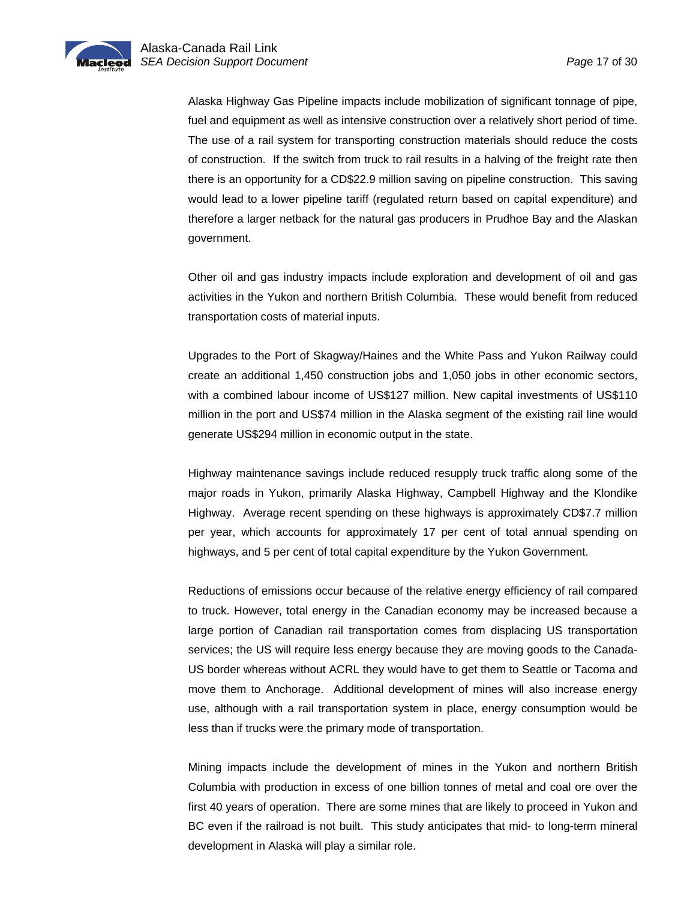Alaska Highway Gas Pipeline impacts include mobilization of significant tonnage of pipe, fuel and equipment as well as intensive construction over a relatively short period of time. The use of a rail system for transporting construction materials should reduce the costs of construction. If the switch from truck to rail results in a halving of the freight rate then there is an opportunity for a CD\$22.9 million saving on pipeline construction. This saving would lead to a lower pipeline tariff (regulated return based on capital expenditure) and therefore a larger netback for the natural gas producers in Prudhoe Bay and the Alaskan government.

Other oil and gas industry impacts include exploration and development of oil and gas activities in the Yukon and northern British Columbia. These would benefit from reduced transportation costs of material inputs.

Upgrades to the Port of Skagway/Haines and the White Pass and Yukon Railway could create an additional 1,450 construction jobs and 1,050 jobs in other economic sectors, with a combined labour income of US\$127 million. New capital investments of US\$110 million in the port and US\$74 million in the Alaska segment of the existing rail line would generate US\$294 million in economic output in the state.

Highway maintenance savings include reduced resupply truck traffic along some of the major roads in Yukon, primarily Alaska Highway, Campbell Highway and the Klondike Highway. Average recent spending on these highways is approximately CD\$7.7 million per year, which accounts for approximately 17 per cent of total annual spending on highways, and 5 per cent of total capital expenditure by the Yukon Government.

Reductions of emissions occur because of the relative energy efficiency of rail compared to truck. However, total energy in the Canadian economy may be increased because a large portion of Canadian rail transportation comes from displacing US transportation services; the US will require less energy because they are moving goods to the Canada-US border whereas without ACRL they would have to get them to Seattle or Tacoma and move them to Anchorage. Additional development of mines will also increase energy use, although with a rail transportation system in place, energy consumption would be less than if trucks were the primary mode of transportation.

Mining impacts include the development of mines in the Yukon and northern British Columbia with production in excess of one billion tonnes of metal and coal ore over the first 40 years of operation. There are some mines that are likely to proceed in Yukon and BC even if the railroad is not built. This study anticipates that mid- to long-term mineral development in Alaska will play a similar role.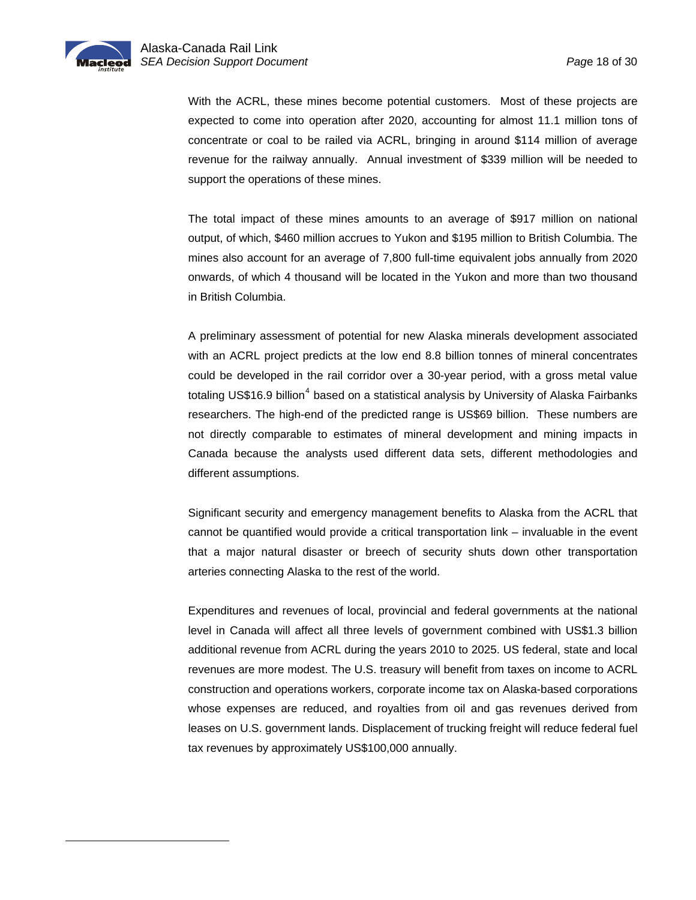l

<span id="page-19-0"></span>With the ACRL, these mines become potential customers. Most of these projects are expected to come into operation after 2020, accounting for almost 11.1 million tons of concentrate or coal to be railed via ACRL, bringing in around \$114 million of average revenue for the railway annually. Annual investment of \$339 million will be needed to support the operations of these mines.

The total impact of these mines amounts to an average of \$917 million on national output, of which, \$460 million accrues to Yukon and \$195 million to British Columbia. The mines also account for an average of 7,800 full-time equivalent jobs annually from 2020 onwards, of which 4 thousand will be located in the Yukon and more than two thousand in British Columbia.

A preliminary assessment of potential for new Alaska minerals development associated with an ACRL project predicts at the low end 8.8 billion tonnes of mineral concentrates could be developed in the rail corridor over a 30-year period, with a gross metal value totaling US\$16.9 billion<sup>[4](#page-19-0)</sup> based on a statistical analysis by University of Alaska Fairbanks researchers. The high-end of the predicted range is US\$69 billion. These numbers are not directly comparable to estimates of mineral development and mining impacts in Canada because the analysts used different data sets, different methodologies and different assumptions.

Significant security and emergency management benefits to Alaska from the ACRL that cannot be quantified would provide a critical transportation link – invaluable in the event that a major natural disaster or breech of security shuts down other transportation arteries connecting Alaska to the rest of the world.

Expenditures and revenues of local, provincial and federal governments at the national level in Canada will affect all three levels of government combined with US\$1.3 billion additional revenue from ACRL during the years 2010 to 2025. US federal, state and local revenues are more modest. The U.S. treasury will benefit from taxes on income to ACRL construction and operations workers, corporate income tax on Alaska-based corporations whose expenses are reduced, and royalties from oil and gas revenues derived from leases on U.S. government lands. Displacement of trucking freight will reduce federal fuel tax revenues by approximately US\$100,000 annually.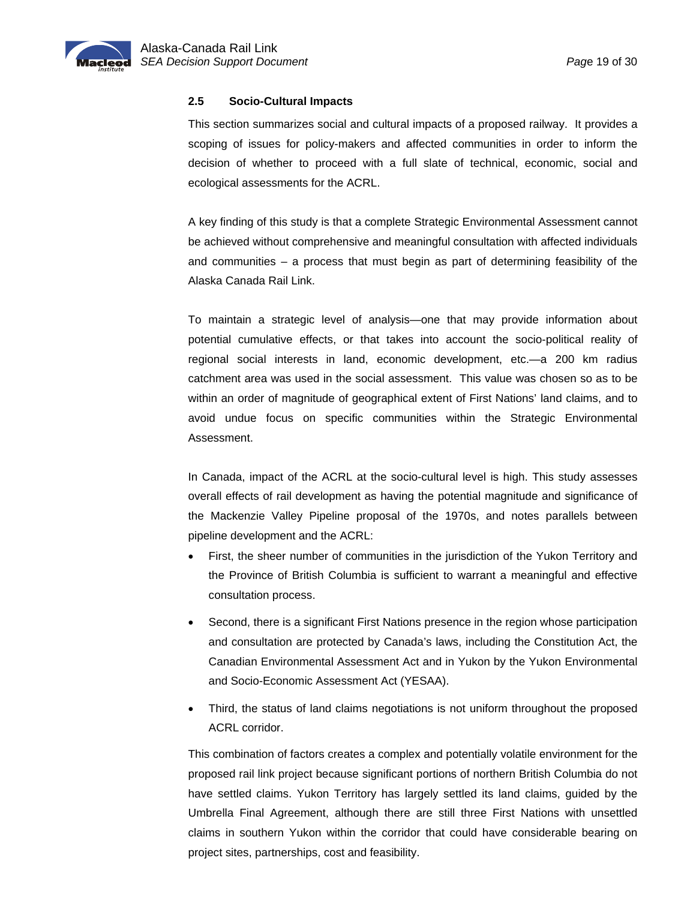<span id="page-20-0"></span>

### **2.5 Socio-Cultural Impacts**

This section summarizes social and cultural impacts of a proposed railway. It provides a scoping of issues for policy-makers and affected communities in order to inform the decision of whether to proceed with a full slate of technical, economic, social and ecological assessments for the ACRL.

A key finding of this study is that a complete Strategic Environmental Assessment cannot be achieved without comprehensive and meaningful consultation with affected individuals and communities – a process that must begin as part of determining feasibility of the Alaska Canada Rail Link.

To maintain a strategic level of analysis—one that may provide information about potential cumulative effects, or that takes into account the socio-political reality of regional social interests in land, economic development, etc.—a 200 km radius catchment area was used in the social assessment. This value was chosen so as to be within an order of magnitude of geographical extent of First Nations' land claims, and to avoid undue focus on specific communities within the Strategic Environmental Assessment.

In Canada, impact of the ACRL at the socio-cultural level is high. This study assesses overall effects of rail development as having the potential magnitude and significance of the Mackenzie Valley Pipeline proposal of the 1970s, and notes parallels between pipeline development and the ACRL:

- First, the sheer number of communities in the jurisdiction of the Yukon Territory and the Province of British Columbia is sufficient to warrant a meaningful and effective consultation process.
- Second, there is a significant First Nations presence in the region whose participation and consultation are protected by Canada's laws, including the Constitution Act, the Canadian Environmental Assessment Act and in Yukon by the Yukon Environmental and Socio-Economic Assessment Act (YESAA).
- Third, the status of land claims negotiations is not uniform throughout the proposed ACRL corridor.

This combination of factors creates a complex and potentially volatile environment for the proposed rail link project because significant portions of northern British Columbia do not have settled claims. Yukon Territory has largely settled its land claims, guided by the Umbrella Final Agreement, although there are still three First Nations with unsettled claims in southern Yukon within the corridor that could have considerable bearing on project sites, partnerships, cost and feasibility.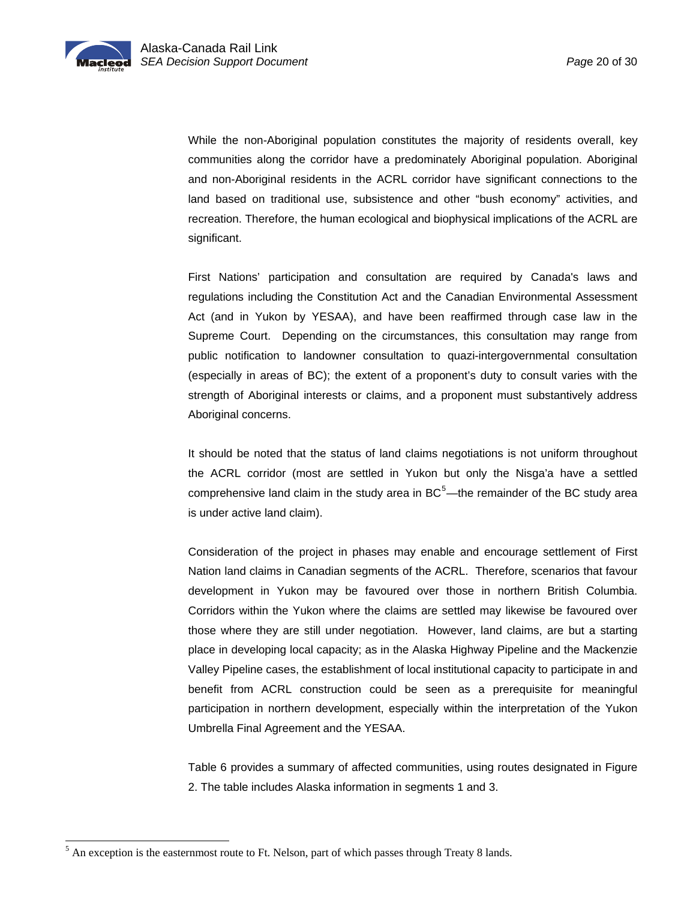<span id="page-21-0"></span>While the non-Aboriginal population constitutes the majority of residents overall, key communities along the corridor have a predominately Aboriginal population. Aboriginal and non-Aboriginal residents in the ACRL corridor have significant connections to the land based on traditional use, subsistence and other "bush economy" activities, and recreation. Therefore, the human ecological and biophysical implications of the ACRL are significant.

First Nations' participation and consultation are required by Canada's laws and regulations including the Constitution Act and the Canadian Environmental Assessment Act (and in Yukon by YESAA), and have been reaffirmed through case law in the Supreme Court. Depending on the circumstances, this consultation may range from public notification to landowner consultation to quazi-intergovernmental consultation (especially in areas of BC); the extent of a proponent's duty to consult varies with the strength of Aboriginal interests or claims, and a proponent must substantively address Aboriginal concerns.

It should be noted that the status of land claims negotiations is not uniform throughout the ACRL corridor (most are settled in Yukon but only the Nisga'a have a settled comprehensive land claim in the study area in  $BC<sup>5</sup>$  $BC<sup>5</sup>$  $BC<sup>5</sup>$ —the remainder of the BC study area is under active land claim).

Consideration of the project in phases may enable and encourage settlement of First Nation land claims in Canadian segments of the ACRL. Therefore, scenarios that favour development in Yukon may be favoured over those in northern British Columbia. Corridors within the Yukon where the claims are settled may likewise be favoured over those where they are still under negotiation. However, land claims, are but a starting place in developing local capacity; as in the Alaska Highway Pipeline and the Mackenzie Valley Pipeline cases, the establishment of local institutional capacity to participate in and benefit from ACRL construction could be seen as a prerequisite for meaningful participation in northern development, especially within the interpretation of the Yukon Umbrella Final Agreement and the YESAA.

Table 6 provides a summary of affected communities, using routes designated in Figure 2. The table includes Alaska information in segments 1 and 3.

l

 $<sup>5</sup>$  An exception is the easternmost route to Ft. Nelson, part of which passes through Treaty 8 lands.</sup>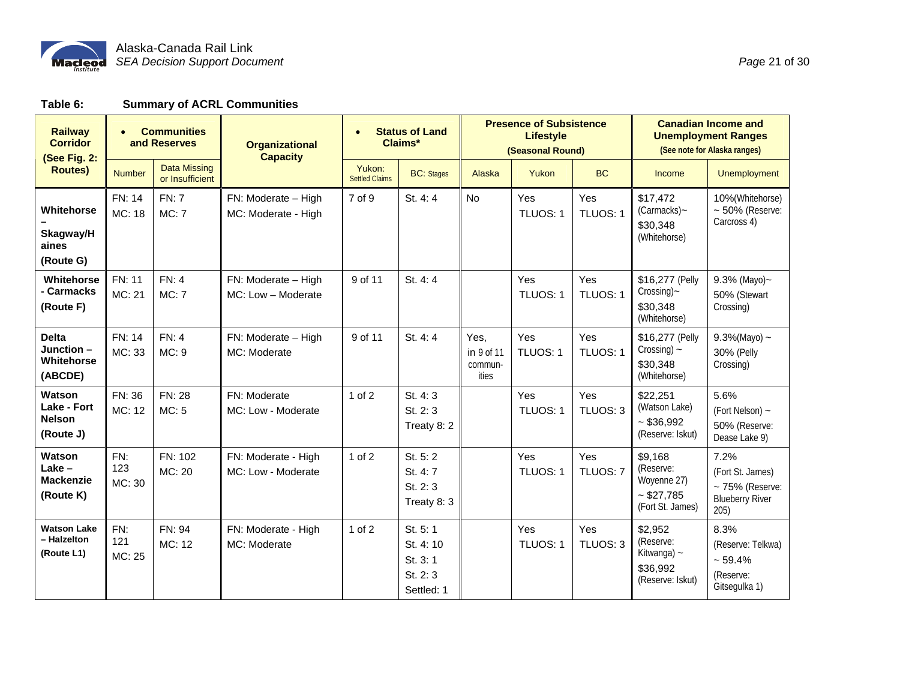

| Page 21 of 30 |
|---------------|
|---------------|

**Table 6: Summary of ACRL Communities** 

| <b>Railway</b><br><b>Corridor</b><br>(See Fig. 2:   | <b>Communities</b><br>and Reserves |                                        | <b>Organizational</b><br><b>Capacity</b>   |                                 | <b>Status of Land</b><br>Claims*                         | <b>Presence of Subsistence</b><br><b>Lifestyle</b><br>(Seasonal Round) |                 |                 | <b>Canadian Income and</b><br><b>Unemployment Ranges</b><br>(See note for Alaska ranges) |                                                                                    |
|-----------------------------------------------------|------------------------------------|----------------------------------------|--------------------------------------------|---------------------------------|----------------------------------------------------------|------------------------------------------------------------------------|-----------------|-----------------|------------------------------------------------------------------------------------------|------------------------------------------------------------------------------------|
| <b>Routes</b> )                                     | <b>Number</b>                      | <b>Data Missing</b><br>or Insufficient |                                            | Yukon:<br><b>Settled Claims</b> | <b>BC:</b> Stages                                        | Alaska                                                                 | Yukon           | <b>BC</b>       | Income                                                                                   | <b>Unemployment</b>                                                                |
| Whitehorse                                          | FN: 14<br>MC: 18                   | <b>FN: 7</b><br>MC: 7                  | FN: Moderate - High<br>MC: Moderate - High | 7 of 9                          | St. 4:4                                                  | No                                                                     | Yes<br>TLUOS: 1 | Yes<br>TLUOS: 1 | \$17,472<br>(Carmacks)~<br>\$30,348                                                      | 10%(Whitehorse)<br>$\sim$ 50% (Reserve:<br>Carcross 4)                             |
| Skagway/H<br>aines<br>(Route G)                     |                                    |                                        |                                            |                                 |                                                          |                                                                        |                 |                 | (Whitehorse)                                                                             |                                                                                    |
| Whitehorse<br>- Carmacks<br>(Route F)               | <b>FN: 11</b><br>MC: 21            | FN: 4<br><b>MC: 7</b>                  | FN: Moderate - High<br>MC: Low - Moderate  | 9 of 11                         | St. 4:4                                                  |                                                                        | Yes<br>TLUOS: 1 | Yes<br>TLUOS: 1 | \$16,277 (Pelly<br>Crossing)~<br>\$30.348<br>(Whitehorse)                                | 9.3% (Mayo) $\sim$<br>50% (Stewart<br>Crossing)                                    |
| <b>Delta</b><br>Junction-<br>Whitehorse<br>(ABCDE)  | FN: 14<br>MC: 33                   | FN: 4<br>MC: 9                         | FN: Moderate - High<br>MC: Moderate        | 9 of 11                         | St. 4:4                                                  | Yes,<br>in 9 of 11<br>commun-<br>ities                                 | Yes<br>TLUOS: 1 | Yes<br>TLUOS: 1 | \$16,277 (Pelly<br>Crossing) $\sim$<br>\$30,348<br>(Whitehorse)                          | $9.3\%$ (Mayo) ~<br><b>30% (Pelly</b><br>Crossing)                                 |
| Watson<br>Lake - Fort<br><b>Nelson</b><br>(Route J) | FN: 36<br>MC: 12                   | FN: 28<br>MC: 5                        | FN: Moderate<br>MC: Low - Moderate         | $1$ of $2$                      | St. 4:3<br>St. 2:3<br>Treaty 8: 2                        |                                                                        | Yes<br>TLUOS: 1 | Yes<br>TLUOS: 3 | \$22,251<br>(Watson Lake)<br>~536,992<br>(Reserve: Iskut)                                | 5.6%<br>(Fort Nelson) ~<br>50% (Reserve:<br>Dease Lake 9)                          |
| Watson<br>$Lake -$<br><b>Mackenzie</b><br>(Route K) | FN:<br>123<br>MC: 30               | FN: 102<br>MC: 20                      | FN: Moderate - High<br>MC: Low - Moderate  | $1$ of $2$                      | St. 5: 2<br>St. 4:7<br>St. 2:3<br>Treaty 8:3             |                                                                        | Yes<br>TLUOS: 1 | Yes<br>TLUOS: 7 | \$9,168<br>(Reserve:<br>Woyenne 27)<br>~527,785<br>(Fort St. James)                      | 7.2%<br>(Fort St. James)<br>$\sim$ 75% (Reserve:<br><b>Blueberry River</b><br>205) |
| <b>Watson Lake</b><br>- Halzelton<br>(Route L1)     | FN:<br>121<br>MC: 25               | FN: 94<br>MC: 12                       | FN: Moderate - High<br>MC: Moderate        | $1$ of $2$                      | St. 5: 1<br>St. 4:10<br>St. 3:1<br>St. 2:3<br>Settled: 1 |                                                                        | Yes<br>TLUOS: 1 | Yes<br>TLUOS: 3 | \$2,952<br>(Reserve:<br>Kitwanga) $\sim$<br>\$36,992<br>(Reserve: Iskut)                 | 8.3%<br>(Reserve: Telkwa)<br>$~59.4\%$<br>(Reserve:<br>Gitsegulka 1)               |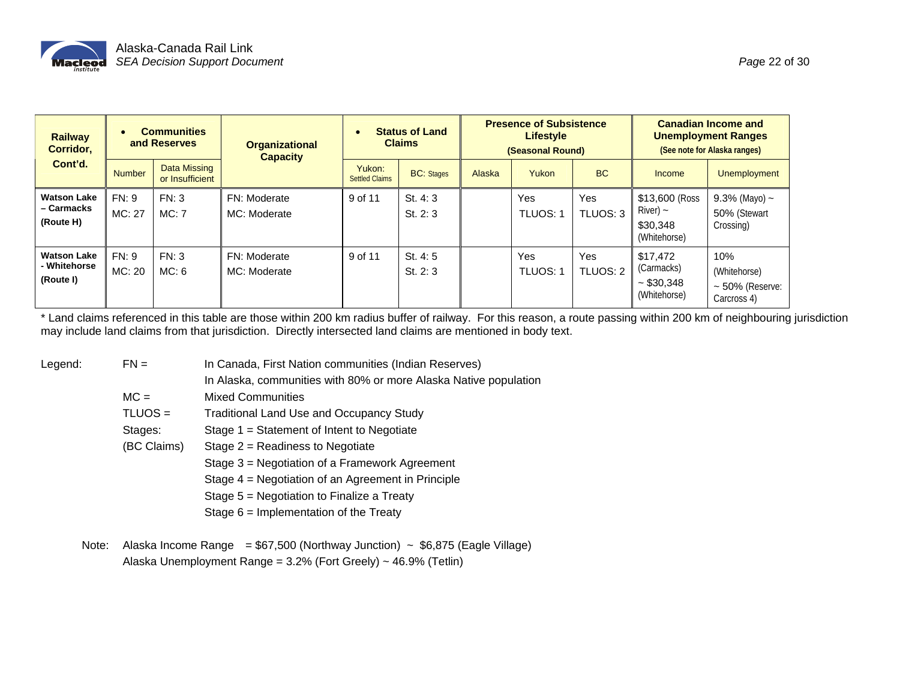

| <b>Railway</b><br>Corridor.                     | $\bullet$       | <b>Communities</b><br>and Reserves     | <b>Organizational</b><br><b>Capacity</b> | <b>Status of Land</b><br><b>Claims</b> |                      | <b>Presence of Subsistence</b><br><b>Lifestyle</b><br>(Seasonal Round) |               |                 | <b>Canadian Income and</b><br><b>Unemployment Ranges</b><br>(See note for Alaska ranges) |                                                            |
|-------------------------------------------------|-----------------|----------------------------------------|------------------------------------------|----------------------------------------|----------------------|------------------------------------------------------------------------|---------------|-----------------|------------------------------------------------------------------------------------------|------------------------------------------------------------|
| Cont'd.                                         | <b>Number</b>   | <b>Data Missing</b><br>or Insufficient |                                          | Yukon:<br><b>Settled Claims</b>        | <b>BC:</b> Stages    | Alaska                                                                 | Yukon         | <b>BC</b>       | Income                                                                                   | <b>Unemployment</b>                                        |
| <b>Watson Lake</b><br>– Carmacks<br>(Route H)   | FN: 9<br>MC: 27 | FN: 3<br>MC:7                          | FN: Moderate<br>MC: Moderate             | 9 of 11                                | St. 4: 3<br>St. 2: 3 |                                                                        | Yes<br>TLUOS: | Yes<br>TLUOS: 3 | \$13,600 (Ross)<br>River) $\sim$<br>\$30,348<br>(Whitehorse)                             | 9.3% (Mayo) $\sim$<br>50% (Stewart<br>Crossing)            |
| <b>Watson Lake</b><br>- Whitehorse<br>(Route I) | FN: 9<br>MC: 20 | FN: 3<br>MC: 6                         | FN: Moderate<br>MC: Moderate             | 9 of 11                                | St. 4: 5<br>St. 2: 3 |                                                                        | Yes<br>TLUOS: | Yes<br>TLUOS: 2 | \$17,472<br>(Carmacks)<br>~530.348<br>(Whitehorse)                                       | 10%<br>(Whitehorse)<br>$\sim$ 50% (Reserve:<br>Carcross 4) |

\* Land claims referenced in this table are those within 200 km radius buffer of railway. For this reason, a route passing within 200 km of neighbouring jurisdiction may include land claims from that jurisdiction. Directly intersected land claims are mentioned in body text.

- Legend: FN = In Canada, First Nation communities (Indian Reserves)
	- In Alaska, communities with 80% or more Alaska Native population
	- MC = Mixed Communities
	- TLUOS = Traditional Land Use and Occupancy Study
	- Stages: Stage 1 = Statement of Intent to Negotiate
	- (BC Claims) Stage 2 = Readiness to Negotiate
		- Stage 3 = Negotiation of a Framework Agreement
		- Stage 4 = Negotiation of an Agreement in Principle
		- Stage 5 = Negotiation to Finalize a Treaty
		- Stage 6 = Implementation of the Treaty
	- Note: Alaska Income Range =  $$67,500$  (Northway Junction) ~  $$6,875$  (Eagle Village) Alaska Unemployment Range = 3.2% (Fort Greely) ~ 46.9% (Tetlin)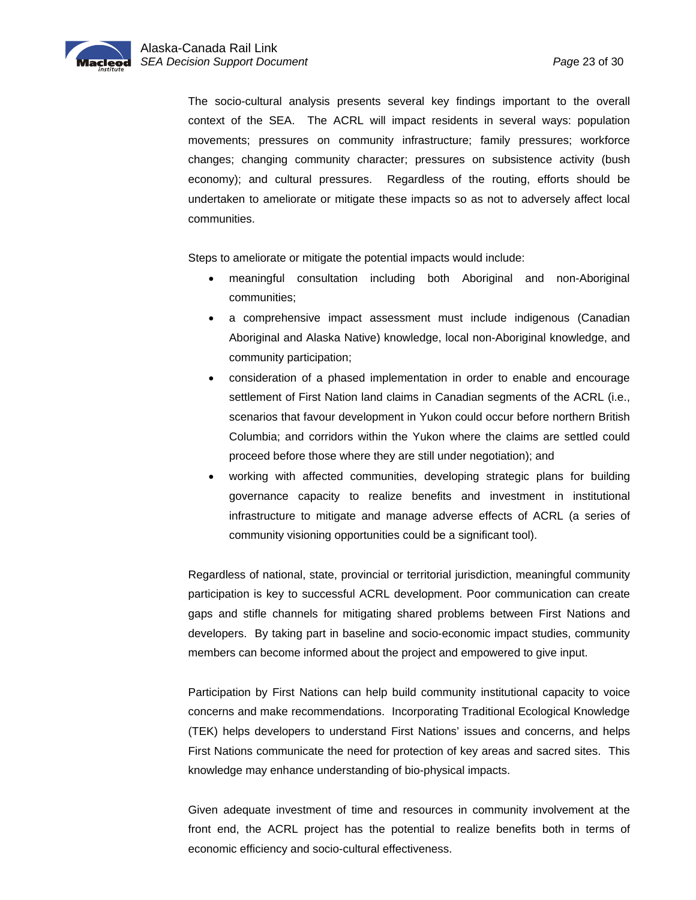The socio-cultural analysis presents several key findings important to the overall context of the SEA. The ACRL will impact residents in several ways: population movements; pressures on community infrastructure; family pressures; workforce changes; changing community character; pressures on subsistence activity (bush economy); and cultural pressures. Regardless of the routing, efforts should be undertaken to ameliorate or mitigate these impacts so as not to adversely affect local communities.

Steps to ameliorate or mitigate the potential impacts would include:

- meaningful consultation including both Aboriginal and non-Aboriginal communities;
- a comprehensive impact assessment must include indigenous (Canadian Aboriginal and Alaska Native) knowledge, local non-Aboriginal knowledge, and community participation;
- consideration of a phased implementation in order to enable and encourage settlement of First Nation land claims in Canadian segments of the ACRL (i.e., scenarios that favour development in Yukon could occur before northern British Columbia; and corridors within the Yukon where the claims are settled could proceed before those where they are still under negotiation); and
- working with affected communities, developing strategic plans for building governance capacity to realize benefits and investment in institutional infrastructure to mitigate and manage adverse effects of ACRL (a series of community visioning opportunities could be a significant tool).

Regardless of national, state, provincial or territorial jurisdiction, meaningful community participation is key to successful ACRL development. Poor communication can create gaps and stifle channels for mitigating shared problems between First Nations and developers. By taking part in baseline and socio-economic impact studies, community members can become informed about the project and empowered to give input.

Participation by First Nations can help build community institutional capacity to voice concerns and make recommendations. Incorporating Traditional Ecological Knowledge (TEK) helps developers to understand First Nations' issues and concerns, and helps First Nations communicate the need for protection of key areas and sacred sites. This knowledge may enhance understanding of bio-physical impacts.

Given adequate investment of time and resources in community involvement at the front end, the ACRL project has the potential to realize benefits both in terms of economic efficiency and socio-cultural effectiveness.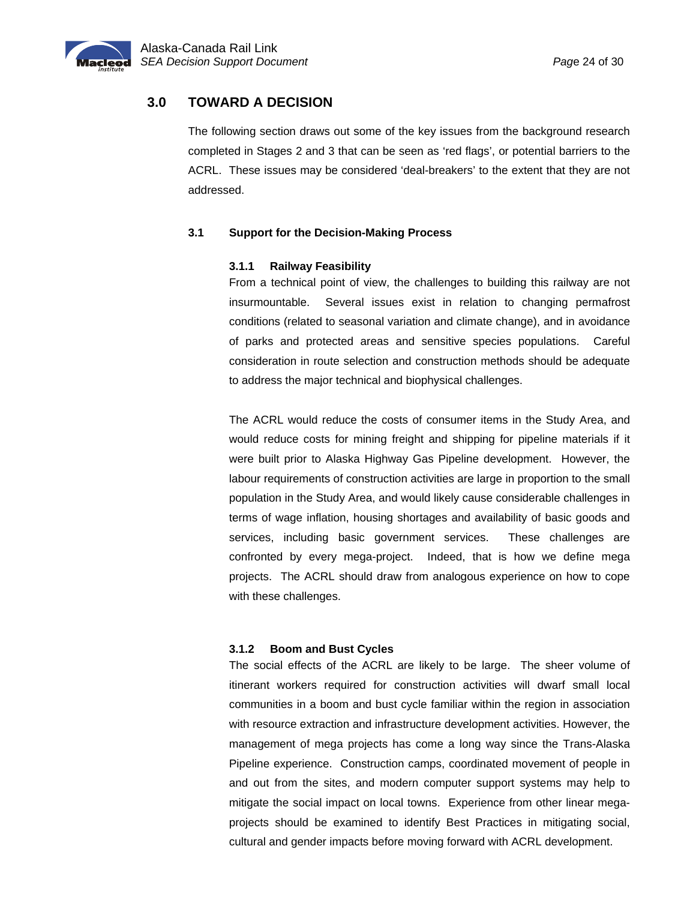<span id="page-25-0"></span>

# **3.0 TOWARD A DECISION**

The following section draws out some of the key issues from the background research completed in Stages 2 and 3 that can be seen as 'red flags', or potential barriers to the ACRL. These issues may be considered 'deal-breakers' to the extent that they are not addressed.

#### **3.1 Support for the Decision-Making Process**

#### **3.1.1 Railway Feasibility**

From a technical point of view, the challenges to building this railway are not insurmountable. Several issues exist in relation to changing permafrost conditions (related to seasonal variation and climate change), and in avoidance of parks and protected areas and sensitive species populations. Careful consideration in route selection and construction methods should be adequate to address the major technical and biophysical challenges.

The ACRL would reduce the costs of consumer items in the Study Area, and would reduce costs for mining freight and shipping for pipeline materials if it were built prior to Alaska Highway Gas Pipeline development. However, the labour requirements of construction activities are large in proportion to the small population in the Study Area, and would likely cause considerable challenges in terms of wage inflation, housing shortages and availability of basic goods and services, including basic government services. These challenges are confronted by every mega-project. Indeed, that is how we define mega projects. The ACRL should draw from analogous experience on how to cope with these challenges.

#### **3.1.2 Boom and Bust Cycles**

The social effects of the ACRL are likely to be large. The sheer volume of itinerant workers required for construction activities will dwarf small local communities in a boom and bust cycle familiar within the region in association with resource extraction and infrastructure development activities. However, the management of mega projects has come a long way since the Trans-Alaska Pipeline experience. Construction camps, coordinated movement of people in and out from the sites, and modern computer support systems may help to mitigate the social impact on local towns. Experience from other linear megaprojects should be examined to identify Best Practices in mitigating social, cultural and gender impacts before moving forward with ACRL development.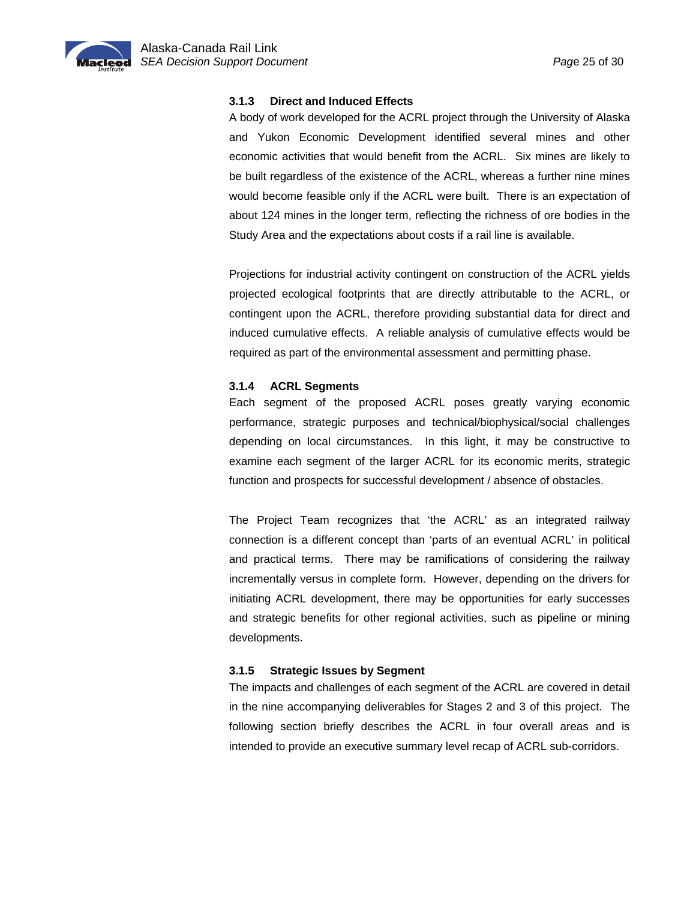<span id="page-26-0"></span>

#### **3.1.3 Direct and Induced Effects**

A body of work developed for the ACRL project through the University of Alaska and Yukon Economic Development identified several mines and other economic activities that would benefit from the ACRL. Six mines are likely to be built regardless of the existence of the ACRL, whereas a further nine mines would become feasible only if the ACRL were built. There is an expectation of about 124 mines in the longer term, reflecting the richness of ore bodies in the Study Area and the expectations about costs if a rail line is available.

Projections for industrial activity contingent on construction of the ACRL yields projected ecological footprints that are directly attributable to the ACRL, or contingent upon the ACRL, therefore providing substantial data for direct and induced cumulative effects. A reliable analysis of cumulative effects would be required as part of the environmental assessment and permitting phase.

#### **3.1.4 ACRL Segments**

Each segment of the proposed ACRL poses greatly varying economic performance, strategic purposes and technical/biophysical/social challenges depending on local circumstances. In this light, it may be constructive to examine each segment of the larger ACRL for its economic merits, strategic function and prospects for successful development / absence of obstacles.

The Project Team recognizes that 'the ACRL' as an integrated railway connection is a different concept than 'parts of an eventual ACRL' in political and practical terms. There may be ramifications of considering the railway incrementally versus in complete form. However, depending on the drivers for initiating ACRL development, there may be opportunities for early successes and strategic benefits for other regional activities, such as pipeline or mining developments.

#### **3.1.5 Strategic Issues by Segment**

The impacts and challenges of each segment of the ACRL are covered in detail in the nine accompanying deliverables for Stages 2 and 3 of this project. The following section briefly describes the ACRL in four overall areas and is intended to provide an executive summary level recap of ACRL sub-corridors.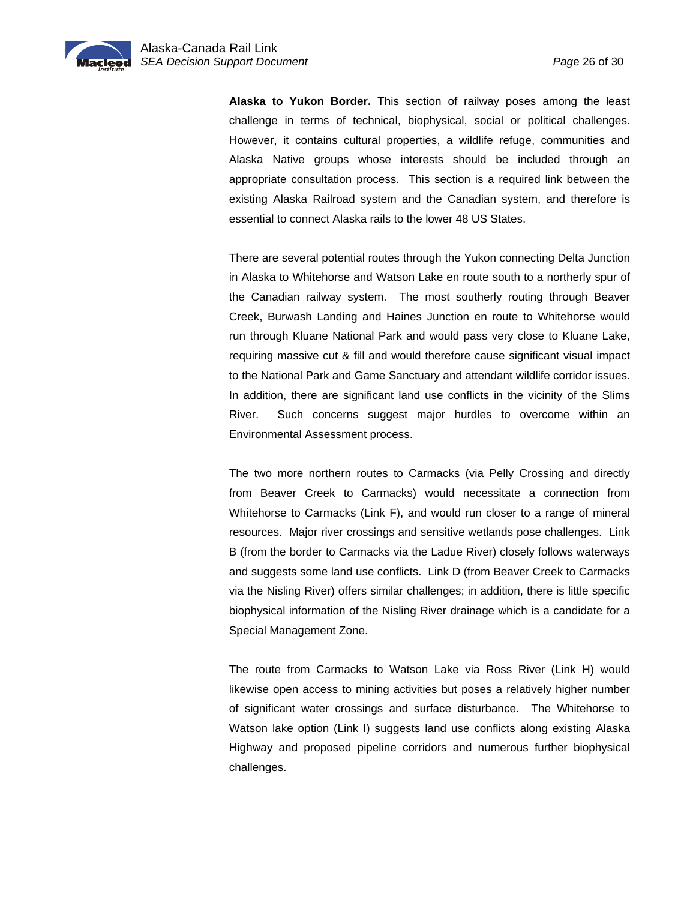**Alaska to Yukon Border.** This section of railway poses among the least challenge in terms of technical, biophysical, social or political challenges. However, it contains cultural properties, a wildlife refuge, communities and Alaska Native groups whose interests should be included through an appropriate consultation process. This section is a required link between the existing Alaska Railroad system and the Canadian system, and therefore is essential to connect Alaska rails to the lower 48 US States.

There are several potential routes through the Yukon connecting Delta Junction in Alaska to Whitehorse and Watson Lake en route south to a northerly spur of the Canadian railway system. The most southerly routing through Beaver Creek, Burwash Landing and Haines Junction en route to Whitehorse would run through Kluane National Park and would pass very close to Kluane Lake, requiring massive cut & fill and would therefore cause significant visual impact to the National Park and Game Sanctuary and attendant wildlife corridor issues. In addition, there are significant land use conflicts in the vicinity of the Slims River. Such concerns suggest major hurdles to overcome within an Environmental Assessment process.

The two more northern routes to Carmacks (via Pelly Crossing and directly from Beaver Creek to Carmacks) would necessitate a connection from Whitehorse to Carmacks (Link F), and would run closer to a range of mineral resources. Major river crossings and sensitive wetlands pose challenges. Link B (from the border to Carmacks via the Ladue River) closely follows waterways and suggests some land use conflicts. Link D (from Beaver Creek to Carmacks via the Nisling River) offers similar challenges; in addition, there is little specific biophysical information of the Nisling River drainage which is a candidate for a Special Management Zone.

The route from Carmacks to Watson Lake via Ross River (Link H) would likewise open access to mining activities but poses a relatively higher number of significant water crossings and surface disturbance. The Whitehorse to Watson lake option (Link I) suggests land use conflicts along existing Alaska Highway and proposed pipeline corridors and numerous further biophysical challenges.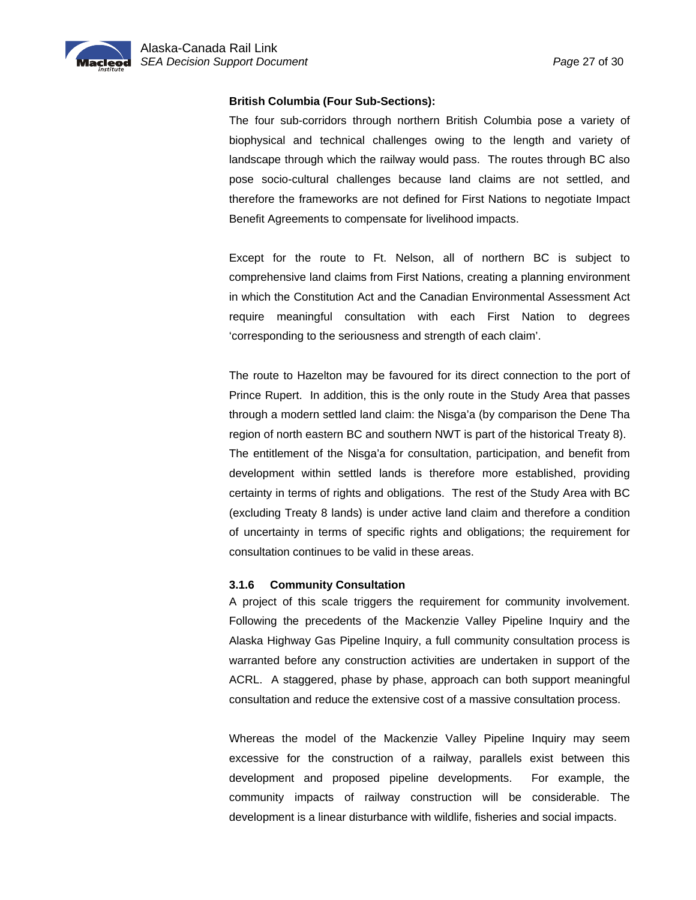<span id="page-28-0"></span>

#### **British Columbia (Four Sub-Sections):**

The four sub-corridors through northern British Columbia pose a variety of biophysical and technical challenges owing to the length and variety of landscape through which the railway would pass. The routes through BC also pose socio-cultural challenges because land claims are not settled, and therefore the frameworks are not defined for First Nations to negotiate Impact Benefit Agreements to compensate for livelihood impacts.

Except for the route to Ft. Nelson, all of northern BC is subject to comprehensive land claims from First Nations, creating a planning environment in which the Constitution Act and the Canadian Environmental Assessment Act require meaningful consultation with each First Nation to degrees 'corresponding to the seriousness and strength of each claim'.

The route to Hazelton may be favoured for its direct connection to the port of Prince Rupert. In addition, this is the only route in the Study Area that passes through a modern settled land claim: the Nisga'a (by comparison the Dene Tha region of north eastern BC and southern NWT is part of the historical Treaty 8). The entitlement of the Nisga'a for consultation, participation, and benefit from development within settled lands is therefore more established, providing certainty in terms of rights and obligations. The rest of the Study Area with BC (excluding Treaty 8 lands) is under active land claim and therefore a condition of uncertainty in terms of specific rights and obligations; the requirement for consultation continues to be valid in these areas.

#### **3.1.6 Community Consultation**

A project of this scale triggers the requirement for community involvement. Following the precedents of the Mackenzie Valley Pipeline Inquiry and the Alaska Highway Gas Pipeline Inquiry, a full community consultation process is warranted before any construction activities are undertaken in support of the ACRL. A staggered, phase by phase, approach can both support meaningful consultation and reduce the extensive cost of a massive consultation process.

Whereas the model of the Mackenzie Valley Pipeline Inquiry may seem excessive for the construction of a railway, parallels exist between this development and proposed pipeline developments. For example, the community impacts of railway construction will be considerable. The development is a linear disturbance with wildlife, fisheries and social impacts.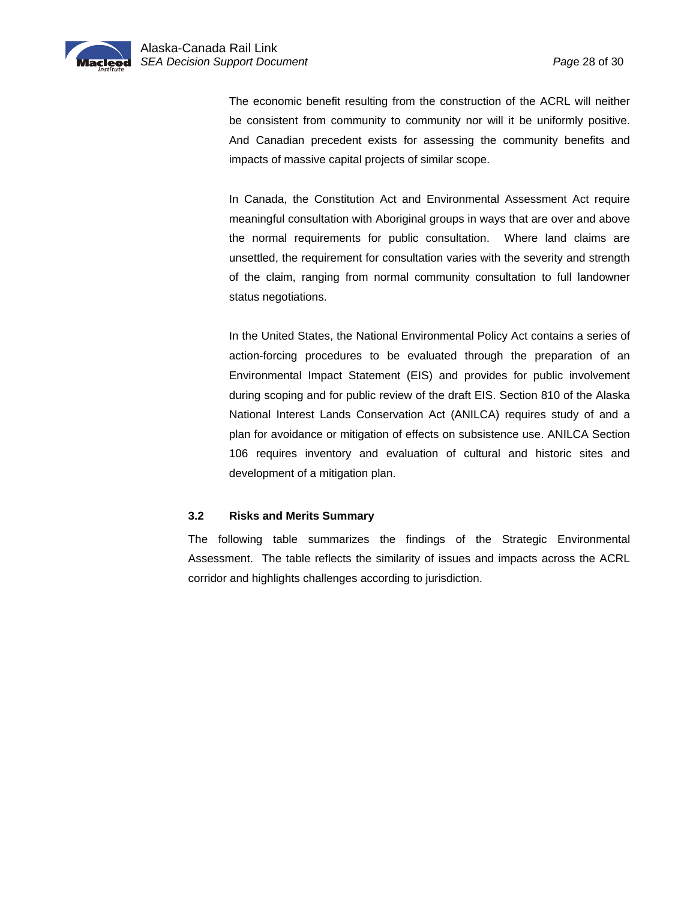<span id="page-29-0"></span>The economic benefit resulting from the construction of the ACRL will neither be consistent from community to community nor will it be uniformly positive. And Canadian precedent exists for assessing the community benefits and impacts of massive capital projects of similar scope.

In Canada, the Constitution Act and Environmental Assessment Act require meaningful consultation with Aboriginal groups in ways that are over and above the normal requirements for public consultation. Where land claims are unsettled, the requirement for consultation varies with the severity and strength of the claim, ranging from normal community consultation to full landowner status negotiations.

In the United States, the National Environmental Policy Act contains a series of action-forcing procedures to be evaluated through the preparation of an Environmental Impact Statement (EIS) and provides for public involvement during scoping and for public review of the draft EIS. Section 810 of the Alaska National Interest Lands Conservation Act (ANILCA) requires study of and a plan for avoidance or mitigation of effects on subsistence use. ANILCA Section 106 requires inventory and evaluation of cultural and historic sites and development of a mitigation plan.

#### **3.2 Risks and Merits Summary**

The following table summarizes the findings of the Strategic Environmental Assessment. The table reflects the similarity of issues and impacts across the ACRL corridor and highlights challenges according to jurisdiction.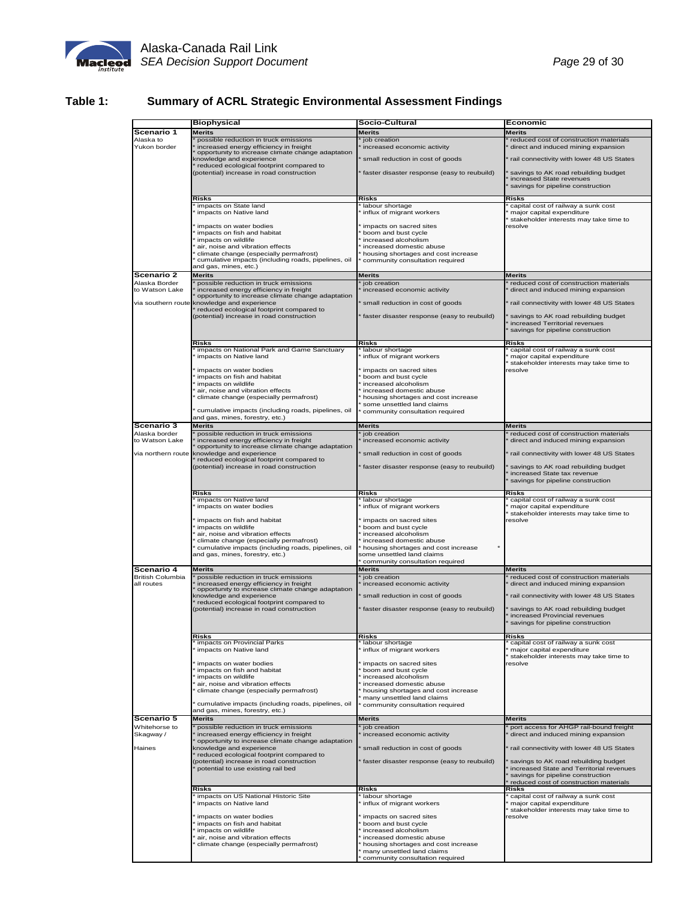

# **Table 1: Summary of ACRL Strategic Environmental Assessment Findings**

|                             | <b>Biophysical</b>                                                                                                     | Socio-Cultural                                                         | Economic                                                                                                    |  |  |
|-----------------------------|------------------------------------------------------------------------------------------------------------------------|------------------------------------------------------------------------|-------------------------------------------------------------------------------------------------------------|--|--|
| Scenario 1                  | <b>Merits</b>                                                                                                          | Merits                                                                 | Merits                                                                                                      |  |  |
| Alaska to                   | possible reduction in truck emissions                                                                                  | job creation                                                           | reduced cost of construction materials                                                                      |  |  |
| Yukon border                | increased energy efficiency in freight<br>opportunity to increase climate change adaptation                            | increased economic activity                                            | direct and induced mining expansion                                                                         |  |  |
|                             | knowledge and experience<br>reduced ecological footprint compared to                                                   | small reduction in cost of goods                                       | rail connectivity with lower 48 US States                                                                   |  |  |
|                             | (potential) increase in road construction                                                                              | faster disaster response (easy to reubuild)                            | savings to AK road rebuilding budget<br>increased State revenues<br>savings for pipeline construction       |  |  |
|                             | Risks                                                                                                                  | Risks                                                                  | Risks                                                                                                       |  |  |
|                             | impacts on State land<br>impacts on Native land                                                                        | labour shortage<br>influx of migrant workers                           | capital cost of railway a sunk cost<br>major capital expenditure                                            |  |  |
|                             | impacts on water bodies                                                                                                | impacts on sacred sites                                                | stakeholder interests may take time to<br>resolve                                                           |  |  |
|                             | impacts on fish and habitat<br>impacts on wildlife                                                                     | boom and bust cycle<br>increased alcoholism                            |                                                                                                             |  |  |
|                             | air, noise and vibration effects                                                                                       | increased domestic abuse                                               |                                                                                                             |  |  |
|                             | climate change (especially permafrost)<br>cumulative impacts (including roads, pipelines, oil<br>and gas, mines, etc.) | housing shortages and cost increase<br>community consultation required |                                                                                                             |  |  |
| Scenario 2                  | <b>Merits</b>                                                                                                          | Merits                                                                 | Merits                                                                                                      |  |  |
| Alaska Border               | possible reduction in truck emissions                                                                                  | job creation                                                           | reduced cost of construction materials                                                                      |  |  |
| o Watson Lake               | increased energy efficiency in freight<br>opportunity to increase climate change adaptation                            | increased economic activity                                            | direct and induced mining expansion                                                                         |  |  |
|                             | via southern route knowledge and experience<br>reduced ecological footprint compared to                                | small reduction in cost of goods                                       | rail connectivity with lower 48 US States                                                                   |  |  |
|                             | (potential) increase in road construction                                                                              | faster disaster response (easy to reubuild)                            | savings to AK road rebuilding budget<br>increased Territorial revenues<br>savings for pipeline construction |  |  |
|                             | Risks                                                                                                                  | Risks                                                                  | Risks                                                                                                       |  |  |
|                             | impacts on National Park and Game Sanctuary<br>impacts on Native land                                                  | labour shortage<br>influx of migrant workers                           | capital cost of railway a sunk cost<br>major capital expenditure                                            |  |  |
|                             | impacts on water bodies                                                                                                | impacts on sacred sites                                                | stakeholder interests may take time to<br>resolve                                                           |  |  |
|                             | impacts on fish and habitat<br>impacts on wildlife                                                                     | boom and bust cycle<br>increased alcoholism                            |                                                                                                             |  |  |
|                             | air, noise and vibration effects                                                                                       | increased domestic abuse                                               |                                                                                                             |  |  |
|                             | climate change (especially permafrost)                                                                                 | housing shortages and cost increase<br>some unsettled land claims      |                                                                                                             |  |  |
|                             | cumulative impacts (including roads, pipelines, oil<br>and gas, mines, forestry, etc.)                                 | community consultation required                                        |                                                                                                             |  |  |
| Scenario 3                  | <b>Merits</b>                                                                                                          | Merits                                                                 | Merits                                                                                                      |  |  |
| Alaska border               | possible reduction in truck emissions                                                                                  | job creation                                                           | reduced cost of construction materials                                                                      |  |  |
| to Watson Lake              | increased energy efficiency in freight<br>opportunity to increase climate change adaptation                            | increased economic activity                                            | direct and induced mining expansion                                                                         |  |  |
| <i>ria</i> northern route   | knowledge and experience<br>reduced ecological footprint compared to                                                   | small reduction in cost of goods                                       | rail connectivity with lower 48 US States                                                                   |  |  |
|                             | (potential) increase in road construction                                                                              | faster disaster response (easy to reubuild)                            | savings to AK road rebuilding budget                                                                        |  |  |
|                             |                                                                                                                        |                                                                        | increased State tax revenue<br>savings for pipeline construction                                            |  |  |
|                             | Risks                                                                                                                  | Risks                                                                  | Risks                                                                                                       |  |  |
|                             | impacts on Native land                                                                                                 | labour shortage                                                        | capital cost of railway a sunk cost                                                                         |  |  |
|                             | impacts on water bodies                                                                                                | influx of migrant workers                                              | major capital expenditure<br>stakeholder interests may take time to                                         |  |  |
|                             | impacts on fish and habitat                                                                                            | impacts on sacred sites                                                | resolve                                                                                                     |  |  |
|                             | impacts on wildlife<br>air, noise and vibration effects                                                                | boom and bust cycle<br>increased alcoholism                            |                                                                                                             |  |  |
|                             | climate change (especially permafrost)<br>cumulative impacts (including roads, pipelines, oil                          | increased domestic abuse<br>housing shortages and cost increase        |                                                                                                             |  |  |
|                             | and gas, mines, forestry, etc.)                                                                                        | some unsettled land claims                                             |                                                                                                             |  |  |
| Scenario 4                  | Merits                                                                                                                 | community consultation required<br>Merits                              | Merits                                                                                                      |  |  |
| <b>British Columbia</b>     | possible reduction in truck emissions                                                                                  | job creation                                                           | reduced cost of construction materials                                                                      |  |  |
| all routes                  | increased energy efficiency in freight<br>opportunity to increase climate change adaptation                            | increased economic activity                                            | direct and induced mining expansion                                                                         |  |  |
|                             | snowledge and experience<br>reduced ecological footprint compared to                                                   | small reduction in cost of goods                                       | rail connectivity with lower 48 US States                                                                   |  |  |
|                             | (potential) increase in road construction                                                                              | faster disaster response (easy to reubuild)                            | savings to AK road rebuilding budget<br>increased Provincial revenues                                       |  |  |
|                             |                                                                                                                        |                                                                        | savings for pipeline construction                                                                           |  |  |
|                             | Risks                                                                                                                  | Risks                                                                  | Risks                                                                                                       |  |  |
|                             | impacts on Provincial Parks<br>impacts on Native land                                                                  | labour shortage<br>influx of migrant workers                           | capital cost of railway a sunk cost<br>major capital expenditure                                            |  |  |
|                             |                                                                                                                        |                                                                        | stakeholder interests may take time to                                                                      |  |  |
|                             | impacts on water bodies<br>impacts on fish and habitat                                                                 | impacts on sacred sites<br>boom and bust cycle                         | resolve                                                                                                     |  |  |
|                             | impacts on wildlife<br>air, noise and vibration effects                                                                | increased alcoholism<br>increased domestic abuse                       |                                                                                                             |  |  |
|                             | climate change (especially permafrost)                                                                                 | housing shortages and cost increase                                    |                                                                                                             |  |  |
|                             | cumulative impacts (including roads, pipelines, oil                                                                    | many unsettled land claims<br>community consultation required          |                                                                                                             |  |  |
|                             | and gas, mines, forestry, etc.)                                                                                        |                                                                        |                                                                                                             |  |  |
| Scenario 5<br>Whitehorse to | <b>Merits</b><br>possible reduction in truck emissions                                                                 | <b>Merits</b><br>job creation                                          | Merits                                                                                                      |  |  |
| Skagway /                   | increased energy efficiency in freight                                                                                 | increased economic activity                                            | port access for AHGP rail-bound freight<br>direct and induced mining expansion                              |  |  |
| Haines                      | opportunity to increase climate change adaptation<br>knowledge and experience                                          | small reduction in cost of goods                                       | rail connectivity with lower 48 US States                                                                   |  |  |
|                             | reduced ecological footprint compared to<br>(potential) increase in road construction                                  | faster disaster response (easy to reubuild)                            | savings to AK road rebuilding budget                                                                        |  |  |
|                             | potential to use existing rail bed                                                                                     |                                                                        | increased State and Territorial revenues                                                                    |  |  |
|                             |                                                                                                                        |                                                                        | savings for pipeline construction<br>reduced cost of construction materials                                 |  |  |
|                             | Risks<br>impacts on US National Historic Site                                                                          | Risks<br>labour shortage                                               | Risks<br>capital cost of railway a sunk cost                                                                |  |  |
|                             | impacts on Native land                                                                                                 | influx of migrant workers                                              | major capital expenditure                                                                                   |  |  |
|                             | impacts on water bodies                                                                                                | impacts on sacred sites                                                | stakeholder interests may take time to<br>esolve                                                            |  |  |
|                             | impacts on fish and habitat<br>impacts on wildlife                                                                     | boom and bust cycle<br>increased alcoholism                            |                                                                                                             |  |  |
|                             | air, noise and vibration effects                                                                                       | increased domestic abuse                                               |                                                                                                             |  |  |
|                             | climate change (especially permafrost)                                                                                 | housing shortages and cost increase<br>many unsettled land claims      |                                                                                                             |  |  |
|                             |                                                                                                                        | community consultation required                                        |                                                                                                             |  |  |